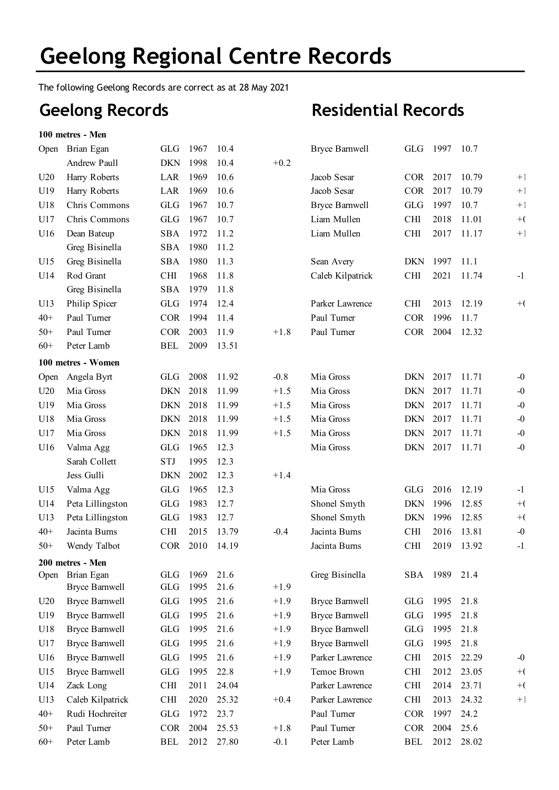The following Geelong Records are correct as at 28 May 2021

## **Geelong Records**

**100 metres - Men**

| Open  | Brian Egan            | GLG        | 1967 | 10.4  |        | <b>Bryce Barnwell</b> | <b>GLG</b> | 1997 | 10.7  |       |
|-------|-----------------------|------------|------|-------|--------|-----------------------|------------|------|-------|-------|
|       | Andrew Paull          | <b>DKN</b> | 1998 | 10.4  | $+0.2$ |                       |            |      |       |       |
| U20   | Harry Roberts         | LAR        | 1969 | 10.6  |        | Jacob Sesar           | <b>COR</b> | 2017 | 10.79 | $+1$  |
| U19   | Harry Roberts         | LAR        | 1969 | 10.6  |        | Jacob Sesar           | <b>COR</b> | 2017 | 10.79 | $+1$  |
| U18   | Chris Commons         | <b>GLG</b> | 1967 | 10.7  |        | <b>Bryce Barnwell</b> | <b>GLG</b> | 1997 | 10.7  | $+1$  |
| U17   | Chris Commons         | <b>GLG</b> | 1967 | 10.7  |        | Liam Mullen           | <b>CHI</b> | 2018 | 11.01 | $+$ ( |
| U16   | Dean Bateup           | <b>SBA</b> | 1972 | 11.2  |        | Liam Mullen           | <b>CHI</b> | 2017 | 11.17 | $+1$  |
|       | Greg Bisinella        | <b>SBA</b> | 1980 | 11.2  |        |                       |            |      |       |       |
| U15   | Greg Bisinella        | <b>SBA</b> | 1980 | 11.3  |        | Sean Avery            | <b>DKN</b> | 1997 | 11.1  |       |
| U14   | Rod Grant             | <b>CHI</b> | 1968 | 11.8  |        | Caleb Kilpatrick      | <b>CHI</b> | 2021 | 11.74 | $-1$  |
|       | Greg Bisinella        | <b>SBA</b> | 1979 | 11.8  |        |                       |            |      |       |       |
| U13   | Philip Spicer         | <b>GLG</b> | 1974 | 12.4  |        | Parker Lawrence       | <b>CHI</b> | 2013 | 12.19 | $+$ ( |
| $40+$ | Paul Turner           | <b>COR</b> | 1994 | 11.4  |        | Paul Turner           | <b>COR</b> | 1996 | 11.7  |       |
| $50+$ | Paul Turner           | <b>COR</b> | 2003 | 11.9  | $+1.8$ | Paul Turner           | COR 2004   |      | 12.32 |       |
| $60+$ | Peter Lamb            | <b>BEL</b> | 2009 | 13.51 |        |                       |            |      |       |       |
|       | 100 metres - Women    |            |      |       |        |                       |            |      |       |       |
| Open  | Angela Byrt           | <b>GLG</b> | 2008 | 11.92 | $-0.8$ | Mia Gross             | <b>DKN</b> | 2017 | 11.71 | -0    |
| U20   | Mia Gross             | <b>DKN</b> | 2018 | 11.99 | $+1.5$ | Mia Gross             | <b>DKN</b> | 2017 | 11.71 | $-0$  |
| U19   | Mia Gross             | <b>DKN</b> | 2018 | 11.99 | $+1.5$ | Mia Gross             | <b>DKN</b> | 2017 | 11.71 | $-0$  |
| U18   | Mia Gross             | <b>DKN</b> | 2018 | 11.99 | $+1.5$ | Mia Gross             | <b>DKN</b> | 2017 | 11.71 | $-0$  |
| U17   | Mia Gross             | <b>DKN</b> | 2018 | 11.99 | $+1.5$ | Mia Gross             | <b>DKN</b> | 2017 | 11.71 | $-0$  |
| U16   | Valma Agg             | <b>GLG</b> | 1965 | 12.3  |        | Mia Gross             | <b>DKN</b> | 2017 | 11.71 | $-0$  |
|       | Sarah Collett         | <b>STJ</b> | 1995 | 12.3  |        |                       |            |      |       |       |
|       | Jess Gulli            | <b>DKN</b> | 2002 | 12.3  | $+1.4$ |                       |            |      |       |       |
| U15   | Valma Agg             | <b>GLG</b> | 1965 | 12.3  |        | Mia Gross             | <b>GLG</b> | 2016 | 12.19 | $-1$  |
| U14   | Peta Lillingston      | <b>GLG</b> | 1983 | 12.7  |        | Shonel Smyth          | <b>DKN</b> | 1996 | 12.85 | $+$ ( |
| U13   | Peta Lillingston      | <b>GLG</b> | 1983 | 12.7  |        | Shonel Smyth          | <b>DKN</b> | 1996 | 12.85 | $+$ ( |
| $40+$ | Jacinta Burns         | <b>CHI</b> | 2015 | 13.79 | $-0.4$ | Jacinta Burns         | <b>CHI</b> | 2016 | 13.81 | $-0$  |
| $50+$ | Wendy Talbot          | <b>COR</b> | 2010 | 14.19 |        | Jacinta Burns         | <b>CHI</b> | 2019 | 13.92 | $-1$  |
|       | 200 metres - Men      |            |      |       |        |                       |            |      |       |       |
|       | Open Brian Egan       | GLG        | 1969 | 21.6  |        | Greg Bisinella        | SBA        | 1989 | 21.4  |       |
|       | <b>Bryce Barnwell</b> | GLG        | 1995 | 21.6  | $+1.9$ |                       |            |      |       |       |
| U20   | <b>Bryce Barnwell</b> | GLG        | 1995 | 21.6  | $+1.9$ | <b>Bryce Barnwell</b> | GLG        | 1995 | 21.8  |       |
| U19   | <b>Bryce Barnwell</b> | <b>GLG</b> | 1995 | 21.6  | $+1.9$ | <b>Bryce Barnwell</b> | GLG        | 1995 | 21.8  |       |
| U18   | <b>Bryce Barnwell</b> | GLG        | 1995 | 21.6  | $+1.9$ | <b>Bryce Barnwell</b> | <b>GLG</b> | 1995 | 21.8  |       |
| U17   | <b>Bryce Barnwell</b> | GLG        | 1995 | 21.6  | $+1.9$ | <b>Bryce Barnwell</b> | GLG        | 1995 | 21.8  |       |
| U16   | <b>Bryce Barnwell</b> | GLG        | 1995 | 21.6  | $+1.9$ | Parker Lawrence       | <b>CHI</b> | 2015 | 22.29 | $-0$  |
| U15   | <b>Bryce Barnwell</b> | GLG        | 1995 | 22.8  | $+1.9$ | Temoe Brown           | <b>CHI</b> | 2012 | 23.05 | $+$ ( |
| U14   | Zack Long             | <b>CHI</b> | 2011 | 24.04 |        | Parker Lawrence       | <b>CHI</b> | 2014 | 23.71 | $+$ ( |
| U13   | Caleb Kilpatrick      | <b>CHI</b> | 2020 | 25.32 | $+0.4$ | Parker Lawrence       | <b>CHI</b> | 2013 | 24.32 | $+1$  |
| $40+$ | Rudi Hochreiter       | GLG        | 1972 | 23.7  |        | Paul Turner           | <b>COR</b> | 1997 | 24.2  |       |
| $50+$ | Paul Turner           | <b>COR</b> | 2004 | 25.53 | $+1.8$ | Paul Turner           | <b>COR</b> | 2004 | 25.6  |       |
| $60+$ | Peter Lamb            | BEL        | 2012 | 27.80 | $-0.1$ | Peter Lamb            | BEL        | 2012 | 28.02 |       |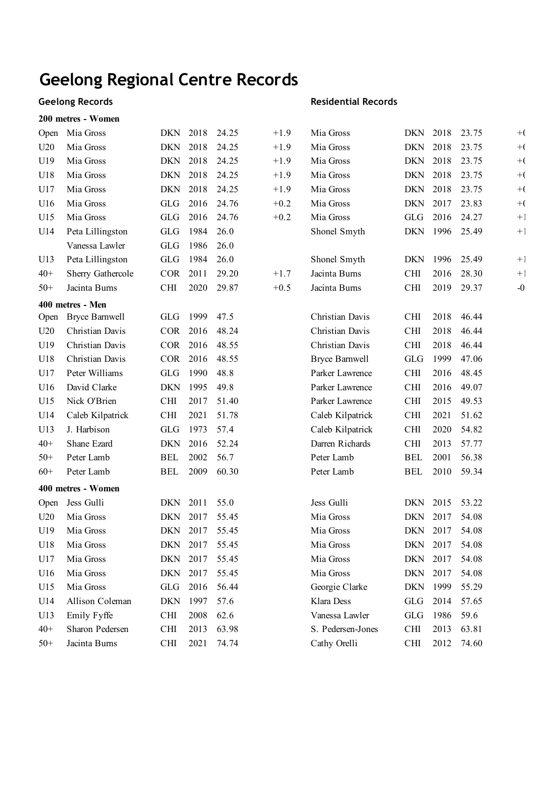### **Geelong Records**

#### **200 metres - Women**

| Open  | Mia Gross             | DKN        | 2018           | 24.25 | $+1.9$ | Mia Gross             | DKN        | 2018 | 23.75 | $+$ ( |
|-------|-----------------------|------------|----------------|-------|--------|-----------------------|------------|------|-------|-------|
| U20   | Mia Gross             | <b>DKN</b> | 2018           | 24.25 | $+1.9$ | Mia Gross             | <b>DKN</b> | 2018 | 23.75 | $+$ ( |
| U19   | Mia Gross             | <b>DKN</b> | 2018           | 24.25 | $+1.9$ | Mia Gross             | <b>DKN</b> | 2018 | 23.75 | $+$ ( |
| U18   | Mia Gross             | <b>DKN</b> | 2018           | 24.25 | $+1.9$ | Mia Gross             | <b>DKN</b> | 2018 | 23.75 | $+$ ( |
| U17   | Mia Gross             | <b>DKN</b> | 2018           | 24.25 | $+1.9$ | Mia Gross             | <b>DKN</b> | 2018 | 23.75 | $+$ ( |
| U16   | Mia Gross             | GLG        | 2016           | 24.76 | $+0.2$ | Mia Gross             | <b>DKN</b> | 2017 | 23.83 | $+$ ( |
| U15   | Mia Gross             | <b>GLG</b> | 2016           | 24.76 | $+0.2$ | Mia Gross             | <b>GLG</b> | 2016 | 24.27 | $+1$  |
| U14   | Peta Lillingston      | GLG        | 1984           | 26.0  |        | Shonel Smyth          | <b>DKN</b> | 1996 | 25.49 | $+1$  |
|       | Vanessa Lawler        | <b>GLG</b> | 1986           | 26.0  |        |                       |            |      |       |       |
| U13   | Peta Lillingston      | GLG        | 1984           | 26.0  |        | Shonel Smyth          | <b>DKN</b> | 1996 | 25.49 | $+1$  |
| $40+$ | Sherry Gathercole     | <b>COR</b> | 2011           | 29.20 | $+1.7$ | Jacinta Burns         | <b>CHI</b> | 2016 | 28.30 | $+1$  |
| $50+$ | Jacinta Burns         | CHI        | 2020           | 29.87 | $+0.5$ | Jacinta Burns         | <b>CHI</b> | 2019 | 29.37 | $-0$  |
|       | 400 metres - Men      |            |                |       |        |                       |            |      |       |       |
| Open  | <b>Bryce Barnwell</b> | <b>GLG</b> | 1999           | 47.5  |        | Christian Davis       | <b>CHI</b> | 2018 | 46.44 |       |
| U20   | Christian Davis       | <b>COR</b> | 2016           | 48.24 |        | Christian Davis       | <b>CHI</b> | 2018 | 46.44 |       |
| U19   | Christian Davis       | <b>COR</b> | 2016           | 48.55 |        | Christian Davis       | <b>CHI</b> | 2018 | 46.44 |       |
| U18   | Christian Davis       | <b>COR</b> | 2016           | 48.55 |        | <b>Bryce Barnwell</b> | <b>GLG</b> | 1999 | 47.06 |       |
| U17   | Peter Williams        | <b>GLG</b> | 1990           | 48.8  |        | Parker Lawrence       | <b>CHI</b> | 2016 | 48.45 |       |
| U16   | David Clarke          | <b>DKN</b> | 1995           | 49.8  |        | Parker Lawrence       | <b>CHI</b> | 2016 | 49.07 |       |
| U15   | Nick O'Brien          | <b>CHI</b> | 2017           | 51.40 |        | Parker Lawrence       | <b>CHI</b> | 2015 | 49.53 |       |
| U14   | Caleb Kilpatrick      | <b>CHI</b> | 2021           | 51.78 |        | Caleb Kilpatrick      | <b>CHI</b> | 2021 | 51.62 |       |
| U13   | J. Harbison           | <b>GLG</b> | 1973           | 57.4  |        | Caleb Kilpatrick      | <b>CHI</b> | 2020 | 54.82 |       |
| $40+$ | Shane Ezard           | <b>DKN</b> | 2016           | 52.24 |        | Darren Richards       | <b>CHI</b> | 2013 | 57.77 |       |
| $50+$ | Peter Lamb            | <b>BEL</b> | 2002           | 56.7  |        | Peter Lamb            | <b>BEL</b> | 2001 | 56.38 |       |
| $60+$ | Peter Lamb            | <b>BEL</b> | 2009           | 60.30 |        | Peter Lamb            | <b>BEL</b> | 2010 | 59.34 |       |
|       | 400 metres - Women    |            |                |       |        |                       |            |      |       |       |
| Open  | Jess Gulli            | <b>DKN</b> | 2011           | 55.0  |        | Jess Gulli            | <b>DKN</b> | 2015 | 53.22 |       |
| U20   | Mia Gross             | <b>DKN</b> | 2017           | 55.45 |        | Mia Gross             | <b>DKN</b> | 2017 | 54.08 |       |
| U19   | Mia Gross             | <b>DKN</b> | 2017           | 55.45 |        | Mia Gross             | <b>DKN</b> | 2017 | 54.08 |       |
| U18   | Mia Gross             |            | DKN 2017 55.45 |       |        | Mia Gross             | DKN 2017   |      | 54.08 |       |
| U17   | Mia Gross             | DKN        | 2017           | 55.45 |        | Mia Gross             | DKN 2017   |      | 54.08 |       |
| U16   | Mia Gross             | <b>DKN</b> | 2017           | 55.45 |        | Mia Gross             | DKN        | 2017 | 54.08 |       |
| U15   | Mia Gross             | GLG        | 2016           | 56.44 |        | Georgie Clarke        | <b>DKN</b> | 1999 | 55.29 |       |
| U14   | Allison Coleman       | <b>DKN</b> | 1997           | 57.6  |        | Klara Dess            | GLG        | 2014 | 57.65 |       |
| U13   | Emily Fyffe           | <b>CHI</b> | 2008           | 62.6  |        | Vanessa Lawler        | GLG        | 1986 | 59.6  |       |
| $40+$ | Sharon Pedersen       | <b>CHI</b> | 2013           | 63.98 |        | S. Pedersen-Jones     | <b>CHI</b> | 2013 | 63.81 |       |
| $50+$ | Jacinta Burns         | <b>CHI</b> | 2021           | 74.74 |        | Cathy Orelli          | CHI        | 2012 | 74.60 |       |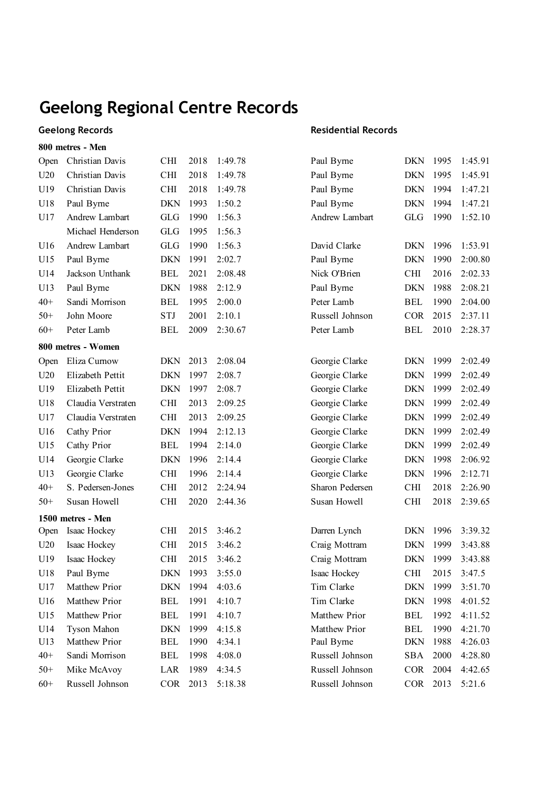### **Geelong Records 800 metres - Men**

| Open  | Christian Davis    | <b>CHI</b> | 2018 | 1:49.78 | Paul Byrne      | <b>DKN</b> | 1995 | 1:45.91 |
|-------|--------------------|------------|------|---------|-----------------|------------|------|---------|
| U20   | Christian Davis    | <b>CHI</b> | 2018 | 1:49.78 | Paul Byrne      | <b>DKN</b> | 1995 | 1:45.91 |
| U19   | Christian Davis    | <b>CHI</b> | 2018 | 1:49.78 | Paul Byrne      | <b>DKN</b> | 1994 | 1:47.21 |
| U18   | Paul Byrne         | <b>DKN</b> | 1993 | 1:50.2  | Paul Byrne      | <b>DKN</b> | 1994 | 1:47.21 |
| U17   | Andrew Lambart     | <b>GLG</b> | 1990 | 1:56.3  | Andrew Lambart  | <b>GLG</b> | 1990 | 1:52.10 |
|       | Michael Henderson  | <b>GLG</b> | 1995 | 1:56.3  |                 |            |      |         |
| U16   | Andrew Lambart     | <b>GLG</b> | 1990 | 1:56.3  | David Clarke    | <b>DKN</b> | 1996 | 1:53.91 |
| U15   | Paul Byrne         | <b>DKN</b> | 1991 | 2:02.7  | Paul Byrne      | <b>DKN</b> | 1990 | 2:00.80 |
| U14   | Jackson Unthank    | <b>BEL</b> | 2021 | 2:08.48 | Nick O'Brien    | <b>CHI</b> | 2016 | 2:02.33 |
| U13   | Paul Byrne         | <b>DKN</b> | 1988 | 2:12.9  | Paul Byrne      | <b>DKN</b> | 1988 | 2:08.21 |
| $40+$ | Sandi Morrison     | <b>BEL</b> | 1995 | 2:00.0  | Peter Lamb      | <b>BEL</b> | 1990 | 2:04.00 |
| $50+$ | John Moore         | <b>STJ</b> | 2001 | 2:10.1  | Russell Johnson | <b>COR</b> | 2015 | 2:37.11 |
| $60+$ | Peter Lamb         | <b>BEL</b> | 2009 | 2:30.67 | Peter Lamb      | <b>BEL</b> | 2010 | 2:28.37 |
|       | 800 metres - Women |            |      |         |                 |            |      |         |
| Open  | Eliza Curnow       | <b>DKN</b> | 2013 | 2:08.04 | Georgie Clarke  | <b>DKN</b> | 1999 | 2:02.49 |
| U20   | Elizabeth Pettit   | <b>DKN</b> | 1997 | 2:08.7  | Georgie Clarke  | <b>DKN</b> | 1999 | 2:02.49 |
| U19   | Elizabeth Pettit   | <b>DKN</b> | 1997 | 2:08.7  | Georgie Clarke  | <b>DKN</b> | 1999 | 2:02.49 |
| U18   | Claudia Verstraten | <b>CHI</b> | 2013 | 2:09.25 | Georgie Clarke  | <b>DKN</b> | 1999 | 2:02.49 |
| U17   | Claudia Verstraten | <b>CHI</b> | 2013 | 2:09.25 | Georgie Clarke  | <b>DKN</b> | 1999 | 2:02.49 |
| U16   | Cathy Prior        | <b>DKN</b> | 1994 | 2:12.13 | Georgie Clarke  | <b>DKN</b> | 1999 | 2:02.49 |
| U15   | Cathy Prior        | <b>BEL</b> | 1994 | 2:14.0  | Georgie Clarke  | <b>DKN</b> | 1999 | 2:02.49 |
| U14   | Georgie Clarke     | <b>DKN</b> | 1996 | 2:14.4  | Georgie Clarke  | <b>DKN</b> | 1998 | 2:06.92 |
| U13   | Georgie Clarke     | <b>CHI</b> | 1996 | 2:14.4  | Georgie Clarke  | <b>DKN</b> | 1996 | 2:12.71 |
| $40+$ | S. Pedersen-Jones  | <b>CHI</b> | 2012 | 2:24.94 | Sharon Pedersen | <b>CHI</b> | 2018 | 2:26.90 |
| $50+$ | Susan Howell       | <b>CHI</b> | 2020 | 2:44.36 | Susan Howell    | <b>CHI</b> | 2018 | 2:39.65 |
|       | 1500 metres - Men  |            |      |         |                 |            |      |         |
| Open  | Isaac Hockey       | <b>CHI</b> | 2015 | 3:46.2  | Darren Lynch    | <b>DKN</b> | 1996 | 3:39.32 |
| U20   | Isaac Hockey       | <b>CHI</b> | 2015 | 3:46.2  | Craig Mottram   | <b>DKN</b> | 1999 | 3:43.88 |
| U19   | Isaac Hockey       | <b>CHI</b> | 2015 | 3:46.2  | Craig Mottram   | <b>DKN</b> | 1999 | 3:43.88 |
| U18   | Paul Byrne         | <b>DKN</b> | 1993 | 3:55.0  | Isaac Hockey    | CНI        | 2015 | 3:47.5  |
| U17   | Matthew Prior      | DKN        | 1994 | 4:03.6  | Tim Clarke      | DKN        | 1999 | 3:51.70 |
| U16   | Matthew Prior      | <b>BEL</b> | 1991 | 4:10.7  | Tim Clarke      | <b>DKN</b> | 1998 | 4:01.52 |
| U15   | Matthew Prior      | <b>BEL</b> | 1991 | 4:10.7  | Matthew Prior   | <b>BEL</b> | 1992 | 4:11.52 |
| U14   | Tyson Mahon        | <b>DKN</b> | 1999 | 4:15.8  | Matthew Prior   | <b>BEL</b> | 1990 | 4:21.70 |
| U13   | Matthew Prior      | <b>BEL</b> | 1990 | 4:34.1  | Paul Byrne      | <b>DKN</b> | 1988 | 4:26.03 |
| $40+$ | Sandi Morrison     | <b>BEL</b> | 1998 | 4:08.0  | Russell Johnson | <b>SBA</b> | 2000 | 4:28.80 |
| $50+$ | Mike McAvoy        | LAR        | 1989 | 4:34.5  | Russell Johnson | <b>COR</b> | 2004 | 4:42.65 |
| $60+$ | Russell Johnson    | <b>COR</b> | 2013 | 5:18.38 | Russell Johnson | COR        | 2013 | 5:21.6  |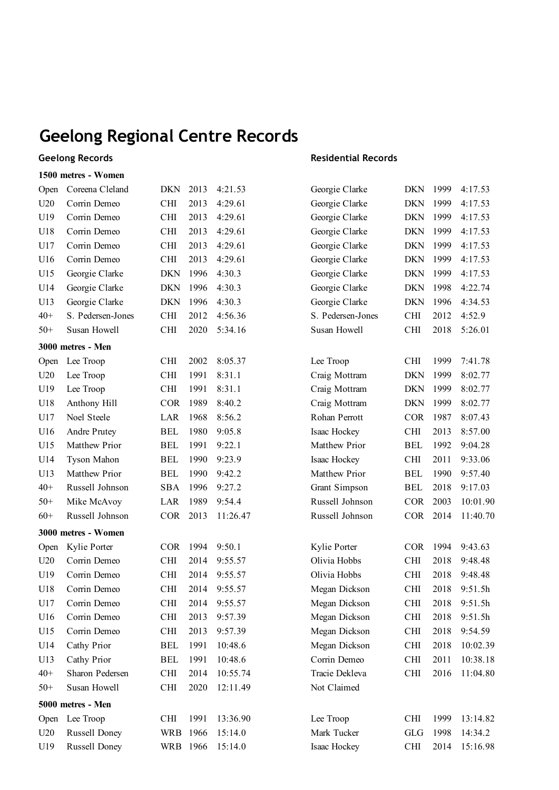#### **Geelong Records**

### **1500 metres - Women**

| Open  | Coreena Cleland      | <b>DKN</b> | 2013 | 4:21.53  | Georgie Clarke    | <b>DKN</b> | 1999 | 4:17.53  |
|-------|----------------------|------------|------|----------|-------------------|------------|------|----------|
| U20   | Corrin Demeo         | <b>CHI</b> | 2013 | 4:29.61  | Georgie Clarke    | <b>DKN</b> | 1999 | 4:17.53  |
| U19   | Corrin Demeo         | <b>CHI</b> | 2013 | 4:29.61  | Georgie Clarke    | <b>DKN</b> | 1999 | 4:17.53  |
| U18   | Corrin Demeo         | <b>CHI</b> | 2013 | 4:29.61  | Georgie Clarke    | <b>DKN</b> | 1999 | 4:17.53  |
| U17   | Corrin Demeo         | <b>CHI</b> | 2013 | 4:29.61  | Georgie Clarke    | <b>DKN</b> | 1999 | 4:17.53  |
| U16   | Corrin Demeo         | <b>CHI</b> | 2013 | 4:29.61  | Georgie Clarke    | <b>DKN</b> | 1999 | 4:17.53  |
| U15   | Georgie Clarke       | <b>DKN</b> | 1996 | 4:30.3   | Georgie Clarke    | <b>DKN</b> | 1999 | 4:17.53  |
| U14   | Georgie Clarke       | <b>DKN</b> | 1996 | 4:30.3   | Georgie Clarke    | <b>DKN</b> | 1998 | 4:22.74  |
| U13   | Georgie Clarke       | <b>DKN</b> | 1996 | 4:30.3   | Georgie Clarke    | <b>DKN</b> | 1996 | 4:34.53  |
| $40+$ | S. Pedersen-Jones    | <b>CHI</b> | 2012 | 4:56.36  | S. Pedersen-Jones | <b>CHI</b> | 2012 | 4:52.9   |
| $50+$ | Susan Howell         | <b>CHI</b> | 2020 | 5:34.16  | Susan Howell      | CHI        | 2018 | 5:26.01  |
|       | 3000 metres - Men    |            |      |          |                   |            |      |          |
| Open  | Lee Troop            | <b>CHI</b> | 2002 | 8:05.37  | Lee Troop         | CHI        | 1999 | 7:41.78  |
| U20   | Lee Troop            | <b>CHI</b> | 1991 | 8:31.1   | Craig Mottram     | <b>DKN</b> | 1999 | 8:02.77  |
| U19   | Lee Troop            | <b>CHI</b> | 1991 | 8:31.1   | Craig Mottram     | <b>DKN</b> | 1999 | 8:02.77  |
| U18   | Anthony Hill         | <b>COR</b> | 1989 | 8:40.2   | Craig Mottram     | <b>DKN</b> | 1999 | 8:02.77  |
| U17   | Noel Steele          | LAR        | 1968 | 8:56.2   | Rohan Perrott     | <b>COR</b> | 1987 | 8:07.43  |
| U16   | Andre Prutey         | <b>BEL</b> | 1980 | 9:05.8   | Isaac Hockey      | CHI        | 2013 | 8:57.00  |
| U15   | Matthew Prior        | <b>BEL</b> | 1991 | 9:22.1   | Matthew Prior     | <b>BEL</b> | 1992 | 9:04.28  |
| U14   | Tyson Mahon          | <b>BEL</b> | 1990 | 9:23.9   | Isaac Hockey      | CHI        | 2011 | 9:33.06  |
| U13   | Matthew Prior        | <b>BEL</b> | 1990 | 9:42.2   | Matthew Prior     | <b>BEL</b> | 1990 | 9:57.40  |
| $40+$ | Russell Johnson      | <b>SBA</b> | 1996 | 9:27.2   | Grant Simpson     | <b>BEL</b> | 2018 | 9:17.03  |
| $50+$ | Mike McAvoy          | LAR        | 1989 | 9:54.4   | Russell Johnson   | <b>COR</b> | 2003 | 10:01.90 |
| $60+$ | Russell Johnson      | <b>COR</b> | 2013 | 11:26.47 | Russell Johnson   | <b>COR</b> | 2014 | 11:40.70 |
|       | 3000 metres - Women  |            |      |          |                   |            |      |          |
| Open  | Kylie Porter         | <b>COR</b> | 1994 | 9:50.1   | Kylie Porter      | <b>COR</b> | 1994 | 9:43.63  |
| U20   | Corrin Demeo         | <b>CHI</b> | 2014 | 9:55.57  | Olivia Hobbs      | <b>CHI</b> | 2018 | 9:48.48  |
| U19   | Corrin Demeo         | <b>CHI</b> | 2014 | 9:55.57  | Olivia Hobbs      | <b>CHI</b> | 2018 | 9:48.48  |
| U18   | Corrin Demeo         | <b>CHI</b> | 2014 | 9:55.57  | Megan Dickson     | CHI        | 2018 | 9:51.5h  |
| U17   | Corrin Demeo         | <b>CHI</b> | 2014 | 9:55.57  | Megan Dickson     | CHI        | 2018 | 9:51.5h  |
| U16   | Corrin Demeo         | <b>CHI</b> | 2013 | 9:57.39  | Megan Dickson     | <b>CHI</b> | 2018 | 9:51.5h  |
| U15   | Corrin Demeo         | <b>CHI</b> | 2013 | 9:57.39  | Megan Dickson     | <b>CHI</b> | 2018 | 9:54.59  |
| U14   | Cathy Prior          | <b>BEL</b> | 1991 | 10:48.6  | Megan Dickson     | <b>CHI</b> | 2018 | 10:02.39 |
| U13   | Cathy Prior          | <b>BEL</b> | 1991 | 10:48.6  | Corrin Demeo      | <b>CHI</b> | 2011 | 10:38.18 |
| $40+$ | Sharon Pedersen      | <b>CHI</b> | 2014 | 10:55.74 | Tracie Dekleva    | CHI        | 2016 | 11:04.80 |
| $50+$ | Susan Howell         | <b>CHI</b> | 2020 | 12:11.49 | Not Claimed       |            |      |          |
|       | 5000 metres - Men    |            |      |          |                   |            |      |          |
| Open  | Lee Troop            | <b>CHI</b> | 1991 | 13:36.90 | Lee Troop         | <b>CHI</b> | 1999 | 13:14.82 |
|       |                      |            |      |          |                   |            |      |          |
| U20   | <b>Russell Doney</b> | <b>WRB</b> | 1966 | 15:14.0  | Mark Tucker       | <b>GLG</b> | 1998 | 14:34.2  |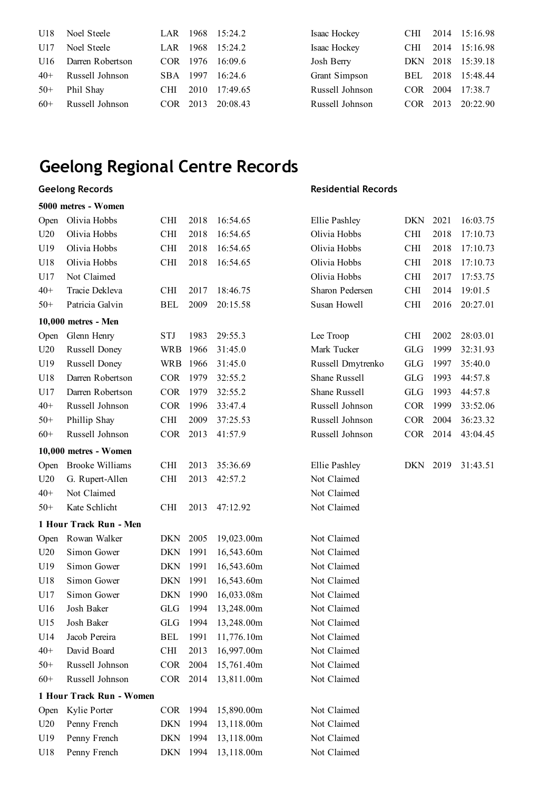| U18   | Noel Steele      |            |      | LAR 1968 15:24.2 | Isaac Hockey    | <b>CHI</b> |      | 2014 15:16.98     |
|-------|------------------|------------|------|------------------|-----------------|------------|------|-------------------|
| U17   | Noel Steele      | LAR        | 1968 | 15:24.2          | Isaac Hockey    | <b>CHI</b> | 2014 | 15:16.98          |
| U16   | Darren Robertson | COR 1976   |      | 16:09.6          | Josh Berry      |            |      | DKN 2018 15:39.18 |
| $40+$ | Russell Johnson  | SBA 1997   |      | 16:24.6          | Grant Simpson   | BEL.       |      | 2018 15:48.44     |
| $50+$ | Phil Shay        | <b>CHI</b> | 2010 | 17:49.65         | Russell Johnson | COR-       | 2004 | 17:38.7           |
| $60+$ | Russell Johnson  | COR.       | 2013 | 20:08.43         | Russell Johnson | COR        | 2013 | 20:22.90          |

### **Geelong Records**

#### **5000 metres - Women**

| Open  | Olivia Hobbs             | <b>CHI</b> | 2018 | 16:54.65   | Ellie Pashley     | DKN        | 2021 | 16:03.75 |
|-------|--------------------------|------------|------|------------|-------------------|------------|------|----------|
| U20   | Olivia Hobbs             | <b>CHI</b> | 2018 | 16:54.65   | Olivia Hobbs      | CHI        | 2018 | 17:10.73 |
| U19   | Olivia Hobbs             | <b>CHI</b> | 2018 | 16:54.65   | Olivia Hobbs      | <b>CHI</b> | 2018 | 17:10.73 |
| U18   | Olivia Hobbs             | <b>CHI</b> | 2018 | 16:54.65   | Olivia Hobbs      | <b>CHI</b> | 2018 | 17:10.73 |
| U17   | Not Claimed              |            |      |            | Olivia Hobbs      | <b>CHI</b> | 2017 | 17:53.75 |
| $40+$ | Tracie Dekleva           | <b>CHI</b> | 2017 | 18:46.75   | Sharon Pedersen   | CHI        | 2014 | 19:01.5  |
| $50+$ | Patricia Galvin          | <b>BEL</b> | 2009 | 20:15.58   | Susan Howell      | <b>CHI</b> | 2016 | 20:27.01 |
|       | 10,000 metres - Men      |            |      |            |                   |            |      |          |
| Open  | Glenn Henry              | <b>STJ</b> | 1983 | 29:55.3    | Lee Troop         | <b>CHI</b> | 2002 | 28:03.01 |
| U20   | Russell Doney            | <b>WRB</b> | 1966 | 31:45.0    | Mark Tucker       | <b>GLG</b> | 1999 | 32:31.93 |
| U19   | <b>Russell Doney</b>     | <b>WRB</b> | 1966 | 31:45.0    | Russell Dmytrenko | <b>GLG</b> | 1997 | 35:40.0  |
| U18   | Darren Robertson         | <b>COR</b> | 1979 | 32:55.2    | Shane Russell     | <b>GLG</b> | 1993 | 44:57.8  |
| U17   | Darren Robertson         | <b>COR</b> | 1979 | 32:55.2    | Shane Russell     | <b>GLG</b> | 1993 | 44:57.8  |
| $40+$ | Russell Johnson          | <b>COR</b> | 1996 | 33:47.4    | Russell Johnson   | <b>COR</b> | 1999 | 33:52.06 |
| $50+$ | Phillip Shay             | <b>CHI</b> | 2009 | 37:25.53   | Russell Johnson   | <b>COR</b> | 2004 | 36:23.32 |
| $60+$ | Russell Johnson          | <b>COR</b> | 2013 | 41:57.9    | Russell Johnson   | COR        | 2014 | 43:04.45 |
|       | 10,000 metres - Women    |            |      |            |                   |            |      |          |
| Open  | <b>Brooke Williams</b>   | <b>CHI</b> | 2013 | 35:36.69   | Ellie Pashley     | DKN        | 2019 | 31:43.51 |
| U20   | G. Rupert-Allen          | <b>CHI</b> | 2013 | 42:57.2    | Not Claimed       |            |      |          |
| $40+$ | Not Claimed              |            |      |            | Not Claimed       |            |      |          |
| $50+$ | Kate Schlicht            | <b>CHI</b> | 2013 | 47:12.92   | Not Claimed       |            |      |          |
|       | 1 Hour Track Run - Men   |            |      |            |                   |            |      |          |
| Open  | Rowan Walker             | <b>DKN</b> | 2005 | 19,023.00m | Not Claimed       |            |      |          |
| U20   | Simon Gower              | <b>DKN</b> | 1991 | 16,543.60m | Not Claimed       |            |      |          |
| U19   | Simon Gower              | <b>DKN</b> | 1991 | 16,543.60m | Not Claimed       |            |      |          |
| U18   | Simon Gower              | <b>DKN</b> | 1991 | 16,543.60m | Not Claimed       |            |      |          |
| U17   | Simon Gower              | <b>DKN</b> | 1990 | 16,033.08m | Not Claimed       |            |      |          |
| U16   | Josh Baker               | <b>GLG</b> | 1994 | 13,248.00m | Not Claimed       |            |      |          |
| U15   | Josh Baker               | <b>GLG</b> | 1994 | 13,248.00m | Not Claimed       |            |      |          |
| U14   | Jacob Pereira            | <b>BEL</b> | 1991 | 11,776.10m | Not Claimed       |            |      |          |
| $40+$ | David Board              | <b>CHI</b> | 2013 | 16,997.00m | Not Claimed       |            |      |          |
| $50+$ | Russell Johnson          | <b>COR</b> | 2004 | 15,761.40m | Not Claimed       |            |      |          |
| $60+$ | Russell Johnson          | <b>COR</b> | 2014 | 13,811.00m | Not Claimed       |            |      |          |
|       | 1 Hour Track Run - Women |            |      |            |                   |            |      |          |
| Open  | Kylie Porter             | <b>COR</b> | 1994 | 15,890.00m | Not Claimed       |            |      |          |
| U20   | Penny French             | <b>DKN</b> | 1994 | 13,118.00m | Not Claimed       |            |      |          |
| U19   | Penny French             | <b>DKN</b> | 1994 | 13,118.00m | Not Claimed       |            |      |          |
| U18   | Penny French             | <b>DKN</b> | 1994 | 13,118.00m | Not Claimed       |            |      |          |
|       |                          |            |      |            |                   |            |      |          |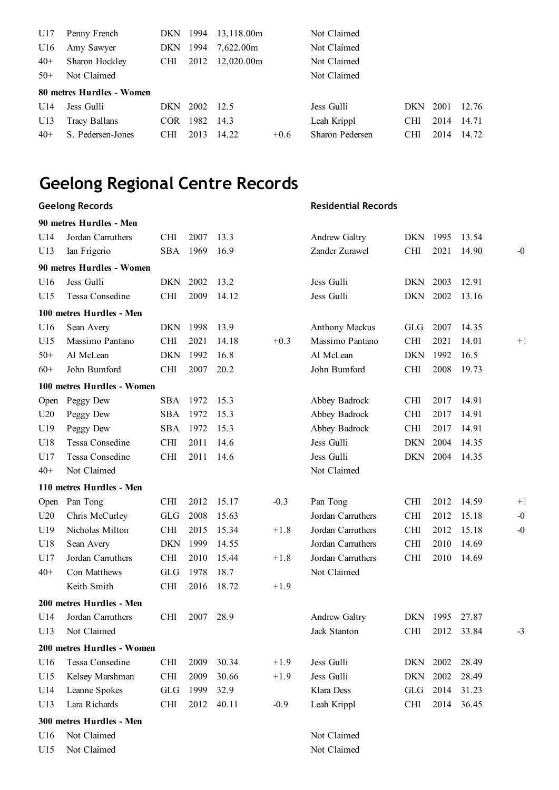| U17   | Penny French              | DKN.       | 1994 | 13,118.00m |        | Not Claimed     |            |      |       |
|-------|---------------------------|------------|------|------------|--------|-----------------|------------|------|-------|
| U16   | Amy Sawyer                | <b>DKN</b> | 1994 | 7,622.00m  |        | Not Claimed     |            |      |       |
| $40+$ | Sharon Hockley            | CHI.       | 2012 | 12,020.00m |        | Not Claimed     |            |      |       |
| $50+$ | Not Claimed               |            |      |            |        | Not Claimed     |            |      |       |
|       | 80 metres Hurdles - Women |            |      |            |        |                 |            |      |       |
| U14   | Jess Gulli                | DKN.       | 2002 | 12.5       |        | Jess Gulli      | DKN.       | 2001 | 12.76 |
| U13   | Tracy Ballans             | <b>COR</b> | 1982 | 14.3       |        | Leah Krippl     | <b>CHI</b> | 2014 | 14.71 |
| $40+$ | S. Pedersen-Jones         | <b>CHI</b> | 2013 | 14.22      | $+0.6$ | Sharon Pedersen | <b>CHI</b> | 2014 | 14.72 |
|       |                           |            |      |            |        |                 |            |      |       |

### **Geelong Records**

|       | 90 metres Hurdles - Men    |            |      |       |        |                       |            |      |       |      |
|-------|----------------------------|------------|------|-------|--------|-----------------------|------------|------|-------|------|
| U14   | Jordan Carruthers          | <b>CHI</b> | 2007 | 13.3  |        | Andrew Galtry         | DKN        | 1995 | 13.54 |      |
| U13   | Ian Frigerio               | <b>SBA</b> | 1969 | 16.9  |        | Zander Zurawel        | <b>CHI</b> | 2021 | 14.90 | $-0$ |
|       | 90 metres Hurdles - Women  |            |      |       |        |                       |            |      |       |      |
| U16   | Jess Gulli                 | <b>DKN</b> | 2002 | 13.2  |        | Jess Gulli            | <b>DKN</b> | 2003 | 12.91 |      |
| U15   | Tessa Consedine            | <b>CHI</b> | 2009 | 14.12 |        | Jess Gulli            | <b>DKN</b> | 2002 | 13.16 |      |
|       | 100 metres Hurdles - Men   |            |      |       |        |                       |            |      |       |      |
| U16   | Sean Avery                 | <b>DKN</b> | 1998 | 13.9  |        | <b>Anthony Mackus</b> | <b>GLG</b> | 2007 | 14.35 |      |
| U15   | Massimo Pantano            | <b>CHI</b> | 2021 | 14.18 | $+0.3$ | Massimo Pantano       | <b>CHI</b> | 2021 | 14.01 | $+1$ |
| $50+$ | Al McLean                  | <b>DKN</b> | 1992 | 16.8  |        | Al McLean             | <b>DKN</b> | 1992 | 16.5  |      |
| $60+$ | John Bumford               | <b>CHI</b> | 2007 | 20.2  |        | John Bumford          | <b>CHI</b> | 2008 | 19.73 |      |
|       | 100 metres Hurdles - Women |            |      |       |        |                       |            |      |       |      |
| Open  | Peggy Dew                  | <b>SBA</b> | 1972 | 15.3  |        | Abbey Badrock         | <b>CHI</b> | 2017 | 14.91 |      |
| U20   | Peggy Dew                  | <b>SBA</b> | 1972 | 15.3  |        | Abbey Badrock         | <b>CHI</b> | 2017 | 14.91 |      |
| U19   | Peggy Dew                  | <b>SBA</b> | 1972 | 15.3  |        | Abbey Badrock         | <b>CHI</b> | 2017 | 14.91 |      |
| U18   | Tessa Consedine            | <b>CHI</b> | 2011 | 14.6  |        | Jess Gulli            | <b>DKN</b> | 2004 | 14.35 |      |
| U17   | Tessa Consedine            | <b>CHI</b> | 2011 | 14.6  |        | Jess Gulli            | <b>DKN</b> | 2004 | 14.35 |      |
| $40+$ | Not Claimed                |            |      |       |        | Not Claimed           |            |      |       |      |
|       | 110 metres Hurdles - Men   |            |      |       |        |                       |            |      |       |      |
| Open  | Pan Tong                   | <b>CHI</b> | 2012 | 15.17 | $-0.3$ | Pan Tong              | <b>CHI</b> | 2012 | 14.59 | $+1$ |
| U20   | Chris McCurley             | <b>GLG</b> | 2008 | 15.63 |        | Jordan Carruthers     | <b>CHI</b> | 2012 | 15.18 | $-0$ |
| U19   | Nicholas Milton            | <b>CHI</b> | 2015 | 15.34 | $+1.8$ | Jordan Carruthers     | <b>CHI</b> | 2012 | 15.18 | $-0$ |
| U18   | Sean Avery                 | <b>DKN</b> | 1999 | 14.55 |        | Jordan Carruthers     | <b>CHI</b> | 2010 | 14.69 |      |
| U17   | Jordan Carruthers          | <b>CHI</b> | 2010 | 15.44 | $+1.8$ | Jordan Carruthers     | <b>CHI</b> | 2010 | 14.69 |      |
| $40+$ | Con Matthews               | <b>GLG</b> | 1978 | 18.7  |        | Not Claimed           |            |      |       |      |
|       | Keith Smith                | <b>CHI</b> | 2016 | 18.72 | $+1.9$ |                       |            |      |       |      |
|       | 200 metres Hurdles - Men   |            |      |       |        |                       |            |      |       |      |
| U14   | Jordan Carruthers          | <b>CHI</b> | 2007 | 28.9  |        | Andrew Galtry         | <b>DKN</b> | 1995 | 27.87 |      |
| U13   | Not Claimed                |            |      |       |        | Jack Stanton          | <b>CHI</b> | 2012 | 33.84 | $-3$ |
|       | 200 metres Hurdles - Women |            |      |       |        |                       |            |      |       |      |
| U16   | <b>Tessa Consedine</b>     | <b>CHI</b> | 2009 | 30.34 | $+1.9$ | Jess Gulli            | <b>DKN</b> | 2002 | 28.49 |      |
| U15   | Kelsey Marshman            | CHI        | 2009 | 30.66 | $+1.9$ | Jess Gulli            | <b>DKN</b> | 2002 | 28.49 |      |
| U14   | Leanne Spokes              | <b>GLG</b> | 1999 | 32.9  |        | Klara Dess            | GLG        | 2014 | 31.23 |      |
| U13   | Lara Richards              | CHI        | 2012 | 40.11 | $-0.9$ | Leah Krippl           | <b>CHI</b> | 2014 | 36.45 |      |
|       | 300 metres Hurdles - Men   |            |      |       |        |                       |            |      |       |      |
| U16   | Not Claimed                |            |      |       |        | Not Claimed           |            |      |       |      |
| U15   | Not Claimed                |            |      |       |        | Not Claimed           |            |      |       |      |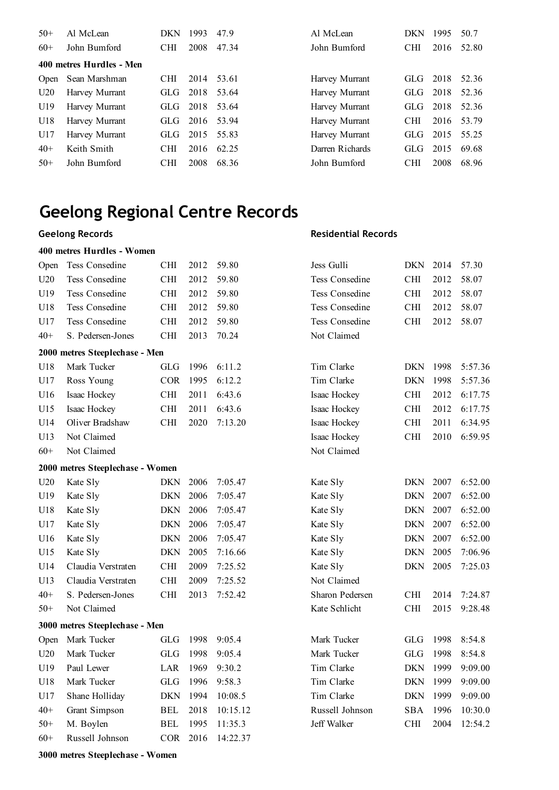| $50+$ | Al McLean                | DKN        | 1993 | 47.9  | Al McLean       | <b>DKN</b> | 1995 | 50.7  |
|-------|--------------------------|------------|------|-------|-----------------|------------|------|-------|
| $60+$ | John Bumford             | <b>CHI</b> | 2008 | 47.34 | John Bumford    | <b>CHI</b> | 2016 | 52.80 |
|       | 400 metres Hurdles - Men |            |      |       |                 |            |      |       |
| Open  | Sean Marshman            | CHI.       | 2014 | 53.61 | Harvey Murrant  | GLG-       | 2018 | 52.36 |
| U20   | Harvey Murrant           | GLG-       | 2018 | 53.64 | Harvey Murrant  | <b>GLG</b> | 2018 | 52.36 |
| U19   | Harvey Murrant           | GLG-       | 2018 | 53.64 | Harvey Murrant  | GLG        | 2018 | 52.36 |
| U18   | Harvey Murrant           | GLG 2016   |      | 53.94 | Harvey Murrant  | <b>CHI</b> | 2016 | 53.79 |
| U17   | Harvey Murrant           | GLG-       | 2015 | 55.83 | Harvey Murrant  | <b>GLG</b> | 2015 | 55.25 |
| $40+$ | Keith Smith              | <b>CHI</b> | 2016 | 62.25 | Darren Richards | GLG        | 2015 | 69.68 |
| $50+$ | John Bumford             | <b>CHI</b> | 2008 | 68.36 | John Bumford    | <b>CHI</b> | 2008 | 68.96 |

#### **Geelong Records**

#### **400 metres Hurdles - Women**

#### **Residential Records**

| Open  | Tess Consedine                   | <b>CHI</b> | 2012 | 59.80    | Jess Gulli            | DKN        | 2014 | 57.30   |
|-------|----------------------------------|------------|------|----------|-----------------------|------------|------|---------|
| U20   | <b>Tess Consedine</b>            | <b>CHI</b> | 2012 | 59.80    | <b>Tess Consedine</b> | <b>CHI</b> | 2012 | 58.07   |
| U19   | Tess Consedine                   | <b>CHI</b> | 2012 | 59.80    | Tess Consedine        | <b>CHI</b> | 2012 | 58.07   |
| U18   | Tess Consedine                   | <b>CHI</b> | 2012 | 59.80    | Tess Consedine        | <b>CHI</b> | 2012 | 58.07   |
| U17   | <b>Tess Consedine</b>            | <b>CHI</b> | 2012 | 59.80    | Tess Consedine        | <b>CHI</b> | 2012 | 58.07   |
| $40+$ | S. Pedersen-Jones                | <b>CHI</b> | 2013 | 70.24    | Not Claimed           |            |      |         |
|       | 2000 metres Steeplechase - Men   |            |      |          |                       |            |      |         |
| U18   | Mark Tucker                      | <b>GLG</b> | 1996 | 6:11.2   | Tim Clarke            | <b>DKN</b> | 1998 | 5:57.36 |
| U17   | Ross Young                       | <b>COR</b> | 1995 | 6:12.2   | Tim Clarke            | <b>DKN</b> | 1998 | 5:57.36 |
| U16   | Isaac Hockey                     | <b>CHI</b> | 2011 | 6:43.6   | Isaac Hockey          | <b>CHI</b> | 2012 | 6:17.75 |
| U15   | Isaac Hockey                     | <b>CHI</b> | 2011 | 6:43.6   | Isaac Hockey          | <b>CHI</b> | 2012 | 6:17.75 |
| U14   | Oliver Bradshaw                  | <b>CHI</b> | 2020 | 7:13.20  | Isaac Hockey          | <b>CHI</b> | 2011 | 6:34.95 |
| U13   | Not Claimed                      |            |      |          | Isaac Hockey          | <b>CHI</b> | 2010 | 6:59.95 |
| $60+$ | Not Claimed                      |            |      |          | Not Claimed           |            |      |         |
|       | 2000 metres Steeplechase - Women |            |      |          |                       |            |      |         |
| U20   | Kate Sly                         | <b>DKN</b> | 2006 | 7:05.47  | Kate Sly              | DKN        | 2007 | 6:52.00 |
| U19   | Kate Sly                         | <b>DKN</b> | 2006 | 7:05.47  | Kate Sly              | <b>DKN</b> | 2007 | 6:52.00 |
| U18   | Kate Sly                         | <b>DKN</b> | 2006 | 7:05.47  | Kate Sly              | <b>DKN</b> | 2007 | 6:52.00 |
| U17   | Kate Sly                         | <b>DKN</b> | 2006 | 7:05.47  | Kate Sly              | <b>DKN</b> | 2007 | 6:52.00 |
| U16   | Kate Sly                         | <b>DKN</b> | 2006 | 7:05.47  | Kate Sly              | <b>DKN</b> | 2007 | 6:52.00 |
| U15   | Kate Sly                         | <b>DKN</b> | 2005 | 7:16.66  | Kate Sly              | <b>DKN</b> | 2005 | 7:06.96 |
| U14   | Claudia Verstraten               | <b>CHI</b> | 2009 | 7:25.52  | Kate Sly              | <b>DKN</b> | 2005 | 7:25.03 |
| U13   | Claudia Verstraten               | <b>CHI</b> | 2009 | 7:25.52  | Not Claimed           |            |      |         |
| $40+$ | S. Pedersen-Jones                | <b>CHI</b> | 2013 | 7:52.42  | Sharon Pedersen       | <b>CHI</b> | 2014 | 7:24.87 |
| $50+$ | Not Claimed                      |            |      |          | Kate Schlicht         | <b>CHI</b> | 2015 | 9:28.48 |
|       | 3000 metres Steeplechase - Men   |            |      |          |                       |            |      |         |
| Open  | Mark Tucker                      | <b>GLG</b> | 1998 | 9:05.4   | Mark Tucker           | <b>GLG</b> | 1998 | 8:54.8  |
| U20   | Mark Tucker                      | <b>GLG</b> | 1998 | 9:05.4   | Mark Tucker           | <b>GLG</b> | 1998 | 8:54.8  |
| U19   | Paul Lewer                       | LAR        | 1969 | 9:30.2   | Tim Clarke            | <b>DKN</b> | 1999 | 9:09.00 |
| U18   | Mark Tucker                      | GLG        | 1996 | 9:58.3   | Tim Clarke            | <b>DKN</b> | 1999 | 9:09.00 |
| U17   | Shane Holliday                   | <b>DKN</b> | 1994 | 10:08.5  | Tim Clarke            | <b>DKN</b> | 1999 | 9:09.00 |
| $40+$ | Grant Simpson                    | <b>BEL</b> | 2018 | 10:15.12 | Russell Johnson       | <b>SBA</b> | 1996 | 10:30.0 |
| $50+$ | M. Boylen                        | <b>BEL</b> | 1995 | 11:35.3  | Jeff Walker           | <b>CHI</b> | 2004 | 12:54.2 |
| $60+$ | Russell Johnson                  | <b>COR</b> | 2016 | 14:22.37 |                       |            |      |         |
|       |                                  |            |      |          |                       |            |      |         |

**3000 metres Steeplechase - Women**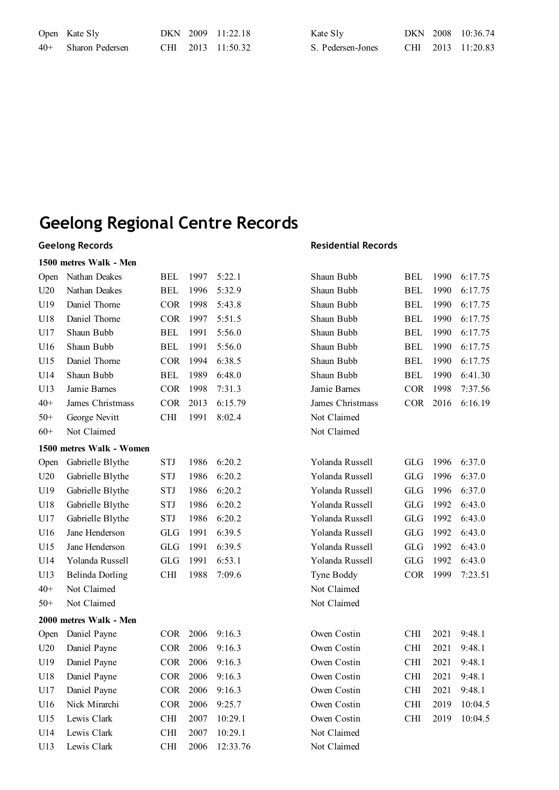| Open Kate Sly         |  | DKN 2009 11:22.18 | Kate S <sub>ly</sub> |  | DKN 2008 10:36.74 |
|-----------------------|--|-------------------|----------------------|--|-------------------|
| $40+$ Sharon Pedersen |  | CHI 2013 11:50.32 | S. Pedersen-Jones    |  | CHI 2013 11:20.83 |

### **Geelong Records**

### **1500 metres Walk - Men**

| Open  | Nathan Deakes            | <b>BEL</b> | 1997 | 5:22.1   | Shaun Bubb       | <b>BEL</b> | 1990 | 6:17.75 |
|-------|--------------------------|------------|------|----------|------------------|------------|------|---------|
| U20   | Nathan Deakes            | BEL        | 1996 | 5:32.9   | Shaun Bubb       | <b>BEL</b> | 1990 | 6:17.75 |
| U19   | Daniel Thorne            | <b>COR</b> | 1998 | 5:43.8   | Shaun Bubb       | <b>BEL</b> | 1990 | 6:17.75 |
| U18   | Daniel Thorne            | <b>COR</b> | 1997 | 5:51.5   | Shaun Bubb       | <b>BEL</b> | 1990 | 6:17.75 |
| U17   | Shaun Bubb               | <b>BEL</b> | 1991 | 5:56.0   | Shaun Bubb       | <b>BEL</b> | 1990 | 6:17.75 |
| U16   | Shaun Bubb               | <b>BEL</b> | 1991 | 5:56.0   | Shaun Bubb       | <b>BEL</b> | 1990 | 6:17.75 |
| U15   | Daniel Thorne            | <b>COR</b> | 1994 | 6:38.5   | Shaun Bubb       | <b>BEL</b> | 1990 | 6:17.75 |
| U14   | Shaun Bubb               | <b>BEL</b> | 1989 | 6:48.0   | Shaun Bubb       | <b>BEL</b> | 1990 | 6:41.30 |
| U13   | Jamie Barnes             | <b>COR</b> | 1998 | 7:31.3   | Jamie Barnes     | <b>COR</b> | 1998 | 7:37.56 |
| $40+$ | James Christmass         | <b>COR</b> | 2013 | 6:15.79  | James Christmass | <b>COR</b> | 2016 | 6:16.19 |
| $50+$ | George Nevitt            | CHI        | 1991 | 8:02.4   | Not Claimed      |            |      |         |
| $60+$ | Not Claimed              |            |      |          | Not Claimed      |            |      |         |
|       | 1500 metres Walk - Women |            |      |          |                  |            |      |         |
| Open  | Gabrielle Blythe         | <b>STJ</b> | 1986 | 6:20.2   | Yolanda Russell  | <b>GLG</b> | 1996 | 6:37.0  |
| U20   | Gabrielle Blythe         | <b>STJ</b> | 1986 | 6:20.2   | Yolanda Russell  | <b>GLG</b> | 1996 | 6:37.0  |
| U19   | Gabrielle Blythe         | <b>STJ</b> | 1986 | 6:20.2   | Yolanda Russell  | <b>GLG</b> | 1996 | 6:37.0  |
| U18   | Gabrielle Blythe         | <b>STJ</b> | 1986 | 6:20.2   | Yolanda Russell  | <b>GLG</b> | 1992 | 6:43.0  |
| U17   | Gabrielle Blythe         | <b>STJ</b> | 1986 | 6:20.2   | Yolanda Russell  | <b>GLG</b> | 1992 | 6:43.0  |
| U16   | Jane Henderson           | <b>GLG</b> | 1991 | 6:39.5   | Yolanda Russell  | <b>GLG</b> | 1992 | 6:43.0  |
| U15   | Jane Henderson           | <b>GLG</b> | 1991 | 6:39.5   | Yolanda Russell  | <b>GLG</b> | 1992 | 6:43.0  |
| U14   | Yolanda Russell          | <b>GLG</b> | 1991 | 6:53.1   | Yolanda Russell  | <b>GLG</b> | 1992 | 6:43.0  |
| U13   | <b>Belinda Dorling</b>   | <b>CHI</b> | 1988 | 7:09.6   | Tyne Boddy       | <b>COR</b> | 1999 | 7:23.51 |
| $40+$ | Not Claimed              |            |      |          | Not Claimed      |            |      |         |
| $50+$ | Not Claimed              |            |      |          | Not Claimed      |            |      |         |
|       | 2000 metres Walk - Men   |            |      |          |                  |            |      |         |
| Open  | Daniel Payne             | COR        | 2006 | 9:16.3   | Owen Costin      | <b>CHI</b> | 2021 | 9:48.1  |
| U20   | Daniel Payne             | <b>COR</b> | 2006 | 9:16.3   | Owen Costin      | <b>CHI</b> | 2021 | 9:48.1  |
| U19   | Daniel Payne             | <b>COR</b> | 2006 | 9:16.3   | Owen Costin      | <b>CHI</b> | 2021 | 9:48.1  |
| U18   | Daniel Payne             | <b>COR</b> | 2006 | 9:16.3   | Owen Costin      | <b>CHI</b> | 2021 | 9:48.1  |
| U17   | Daniel Payne             | <b>COR</b> | 2006 | 9:16.3   | Owen Costin      | <b>CHI</b> | 2021 | 9:48.1  |
| U16   | Nick Mirarchi            | <b>COR</b> | 2006 | 9:25.7   | Owen Costin      | <b>CHI</b> | 2019 | 10:04.5 |
| U15   | Lewis Clark              | <b>CHI</b> | 2007 | 10:29.1  | Owen Costin      | <b>CHI</b> | 2019 | 10:04.5 |
| U14   | Lewis Clark              | <b>CHI</b> | 2007 | 10:29.1  | Not Claimed      |            |      |         |
| U13   | Lewis Clark              | <b>CHI</b> | 2006 | 12:33.76 | Not Claimed      |            |      |         |
|       |                          |            |      |          |                  |            |      |         |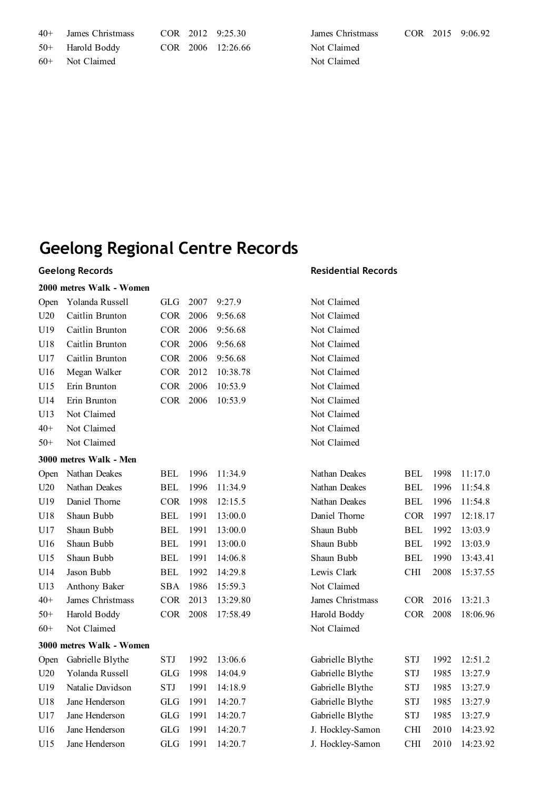| $40 +$ | James Christmass |  | COR 2012 9:25.30  | Jź |
|--------|------------------|--|-------------------|----|
|        | 50+ Harold Boddy |  | COR 2006 12:26.66 | N  |
|        | 60+ Not Claimed  |  |                   |    |

### **Geelong Records**

#### **2000 metres Walk - Women**

| Open  | Yolanda Russell          | <b>GLG</b> | 2007 | 9:27.9   | Not Claimed      |            |      |          |
|-------|--------------------------|------------|------|----------|------------------|------------|------|----------|
| U20   | Caitlin Brunton          | <b>COR</b> | 2006 | 9:56.68  | Not Claimed      |            |      |          |
| U19   | Caitlin Brunton          | <b>COR</b> | 2006 | 9:56.68  | Not Claimed      |            |      |          |
| U18   | Caitlin Brunton          | <b>COR</b> | 2006 | 9:56.68  | Not Claimed      |            |      |          |
| U17   | Caitlin Brunton          | <b>COR</b> | 2006 | 9:56.68  | Not Claimed      |            |      |          |
| U16   | Megan Walker             | COR        | 2012 | 10:38.78 | Not Claimed      |            |      |          |
| U15   | Erin Brunton             | <b>COR</b> | 2006 | 10:53.9  | Not Claimed      |            |      |          |
| U14   | Erin Brunton             | <b>COR</b> | 2006 | 10:53.9  | Not Claimed      |            |      |          |
| U13   | Not Claimed              |            |      |          | Not Claimed      |            |      |          |
| $40+$ | Not Claimed              |            |      |          | Not Claimed      |            |      |          |
| $50+$ | Not Claimed              |            |      |          | Not Claimed      |            |      |          |
|       | 3000 metres Walk - Men   |            |      |          |                  |            |      |          |
| Open  | Nathan Deakes            | <b>BEL</b> | 1996 | 11:34.9  | Nathan Deakes    | <b>BEL</b> | 1998 | 11:17.0  |
| U20   | Nathan Deakes            | <b>BEL</b> | 1996 | 11:34.9  | Nathan Deakes    | <b>BEL</b> | 1996 | 11:54.8  |
| U19   | Daniel Thorne            | <b>COR</b> | 1998 | 12:15.5  | Nathan Deakes    | <b>BEL</b> | 1996 | 11:54.8  |
| U18   | Shaun Bubb               | <b>BEL</b> | 1991 | 13:00.0  | Daniel Thorne    | <b>COR</b> | 1997 | 12:18.17 |
| U17   | Shaun Bubb               | <b>BEL</b> | 1991 | 13:00.0  | Shaun Bubb       | <b>BEL</b> | 1992 | 13:03.9  |
| U16   | Shaun Bubb               | <b>BEL</b> | 1991 | 13:00.0  | Shaun Bubb       | <b>BEL</b> | 1992 | 13:03.9  |
| U15   | Shaun Bubb               | <b>BEL</b> | 1991 | 14:06.8  | Shaun Bubb       | <b>BEL</b> | 1990 | 13:43.41 |
| U14   | Jason Bubb               | <b>BEL</b> | 1992 | 14:29.8  | Lewis Clark      | <b>CHI</b> | 2008 | 15:37.55 |
| U13   | Anthony Baker            | <b>SBA</b> | 1986 | 15:59.3  | Not Claimed      |            |      |          |
| $40+$ | James Christmass         | <b>COR</b> | 2013 | 13:29.80 | James Christmass | <b>COR</b> | 2016 | 13:21.3  |
| $50+$ | Harold Boddy             | <b>COR</b> | 2008 | 17:58.49 | Harold Boddy     | <b>COR</b> | 2008 | 18:06.96 |
| $60+$ | Not Claimed              |            |      |          | Not Claimed      |            |      |          |
|       | 3000 metres Walk - Women |            |      |          |                  |            |      |          |
| Open  | Gabrielle Blythe         | <b>STJ</b> | 1992 | 13:06.6  | Gabrielle Blythe | <b>STJ</b> | 1992 | 12:51.2  |
| U20   | Yolanda Russell          | <b>GLG</b> | 1998 | 14:04.9  | Gabrielle Blythe | <b>STJ</b> | 1985 | 13:27.9  |
| U19   | Natalie Davidson         | <b>STJ</b> | 1991 | 14:18.9  | Gabrielle Blythe | <b>STJ</b> | 1985 | 13:27.9  |
| U18   | Jane Henderson           | <b>GLG</b> | 1991 | 14:20.7  | Gabrielle Blythe | <b>STJ</b> | 1985 | 13:27.9  |
| U17   | Jane Henderson           | <b>GLG</b> | 1991 | 14:20.7  | Gabrielle Blythe | <b>STJ</b> | 1985 | 13:27.9  |
| U16   | Jane Henderson           | <b>GLG</b> | 1991 | 14:20.7  | J. Hockley-Samon | <b>CHI</b> | 2010 | 14:23.92 |
| U15   | Jane Henderson           | <b>GLG</b> | 1991 | 14:20.7  | J. Hockley-Samon | <b>CHI</b> | 2010 | 14:23.92 |
|       |                          |            |      |          |                  |            |      |          |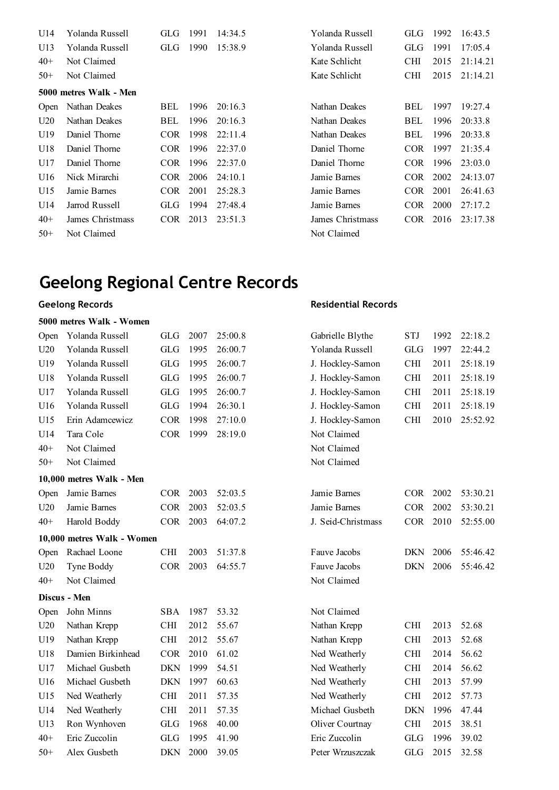| U14         | Yolanda Russell        | GLG        | 1991 | 14:34.5 | Yolanda Russell  | <b>GLG</b> | 1992 | 16:43.5  |
|-------------|------------------------|------------|------|---------|------------------|------------|------|----------|
| U13         | Yolanda Russell        | GLG-       | 1990 | 15:38.9 | Yolanda Russell  | <b>GLG</b> | 1991 | 17:05.4  |
| $40+$       | Not Claimed            |            |      |         | Kate Schlicht    | <b>CHI</b> | 2015 | 21:14.21 |
| $50+$       | Not Claimed            |            |      |         | Kate Schlicht    | <b>CHI</b> | 2015 | 21:14.21 |
|             | 5000 metres Walk - Men |            |      |         |                  |            |      |          |
| <b>Open</b> | Nathan Deakes          | <b>BEL</b> | 1996 | 20:16.3 | Nathan Deakes    | BEL        | 1997 | 19:27.4  |
| U20         | Nathan Deakes          | BEL        | 1996 | 20:16.3 | Nathan Deakes    | BEL        | 1996 | 20:33.8  |
| U19         | Daniel Thorne          | <b>COR</b> | 1998 | 22:11.4 | Nathan Deakes    | BEL        | 1996 | 20:33.8  |
| U18         | Daniel Thorne          | COR.       | 1996 | 22:37.0 | Daniel Thorne    | <b>COR</b> | 1997 | 21:35.4  |
| U17         | Daniel Thorne          | COR.       | 1996 | 22:37.0 | Daniel Thorne    | <b>COR</b> | 1996 | 23:03.0  |
| U16         | Nick Mirarchi          | COR-       | 2006 | 24:10.1 | Jamie Barnes     | COR.       | 2002 | 24:13.07 |
| U15         | Jamie Barnes           | COR.       | 2001 | 25:28.3 | Jamie Barnes     | <b>COR</b> | 2001 | 26:41.63 |
| U14         | Jarrod Russell         | GLG-       | 1994 | 27:48.4 | Jamie Barnes     | <b>COR</b> | 2000 | 27:17.2  |
| $40+$       | James Christmass       | COR.       | 2013 | 23:51.3 | James Christmass | <b>COR</b> | 2016 | 23:17.38 |
| $50+$       | Not Claimed            |            |      |         | Not Claimed      |            |      |          |

### **Geelong Records**

#### **5000 metres Walk - Women**

| Open  | Yolanda Russell            | <b>GLG</b>  | 2007 | 25:00.8 | Gabrielle Blythe   | <b>STJ</b> | 1992 | 22:18.2  |
|-------|----------------------------|-------------|------|---------|--------------------|------------|------|----------|
| U20   | Yolanda Russell            | <b>GLG</b>  | 1995 | 26:00.7 | Yolanda Russell    | <b>GLG</b> | 1997 | 22:44.2  |
| U19   | Yolanda Russell            | GLG         | 1995 | 26:00.7 | J. Hockley-Samon   | <b>CHI</b> | 2011 | 25:18.19 |
| U18   | Yolanda Russell            | <b>GLG</b>  | 1995 | 26:00.7 | J. Hockley-Samon   | <b>CHI</b> | 2011 | 25:18.19 |
| U17   | Yolanda Russell            | GLG         | 1995 | 26:00.7 | J. Hockley-Samon   | <b>CHI</b> | 2011 | 25:18.19 |
| U16   | Yolanda Russell            | <b>GLG</b>  | 1994 | 26:30.1 | J. Hockley-Samon   | <b>CHI</b> | 2011 | 25:18.19 |
| U15   | Erin Adamcewicz            | <b>COR</b>  | 1998 | 27:10.0 | J. Hockley-Samon   | <b>CHI</b> | 2010 | 25:52.92 |
| U14   | Tara Cole                  | <b>COR</b>  | 1999 | 28:19.0 | Not Claimed        |            |      |          |
| $40+$ | Not Claimed                |             |      |         | Not Claimed        |            |      |          |
| $50+$ | Not Claimed                |             |      |         | Not Claimed        |            |      |          |
|       | 10,000 metres Walk - Men   |             |      |         |                    |            |      |          |
| Open  | Jamie Barnes               | <b>COR</b>  | 2003 | 52:03.5 | Jamie Barnes       | <b>COR</b> | 2002 | 53:30.21 |
| U20   | Jamie Barnes               | <b>COR</b>  | 2003 | 52:03.5 | Jamie Barnes       | <b>COR</b> | 2002 | 53:30.21 |
| $40+$ | Harold Boddy               | <b>COR</b>  | 2003 | 64:07.2 | J. Seid-Christmass | <b>COR</b> | 2010 | 52:55.00 |
|       | 10,000 metres Walk - Women |             |      |         |                    |            |      |          |
| Open  | Rachael Loone              | <b>CHI</b>  | 2003 | 51:37.8 | Fauve Jacobs       | <b>DKN</b> | 2006 | 55:46.42 |
| U20   | Tyne Boddy                 | <b>COR</b>  | 2003 | 64:55.7 | Fauve Jacobs       | <b>DKN</b> | 2006 | 55:46.42 |
| $40+$ | Not Claimed                |             |      |         | Not Claimed        |            |      |          |
|       | Discus - Men               |             |      |         |                    |            |      |          |
| Open  | John Minns                 | <b>SBA</b>  | 1987 | 53.32   | Not Claimed        |            |      |          |
| U20   | Nathan Krepp               | <b>CHI</b>  | 2012 | 55.67   | Nathan Krepp       | <b>CHI</b> | 2013 | 52.68    |
| U19   | Nathan Krepp               | <b>CHI</b>  | 2012 | 55.67   | Nathan Krepp       | <b>CHI</b> | 2013 | 52.68    |
| U18   | Damien Birkinhead          | $\rm{COR}$  | 2010 | 61.02   | Ned Weatherly      | <b>CHI</b> | 2014 | 56.62    |
| U17   | Michael Gusbeth            | <b>DKN</b>  | 1999 | 54.51   | Ned Weatherly      | <b>CHI</b> | 2014 | 56.62    |
| U16   | Michael Gusbeth            | <b>DKN</b>  | 1997 | 60.63   | Ned Weatherly      | <b>CHI</b> | 2013 | 57.99    |
| U15   | Ned Weatherly              | <b>CHI</b>  | 2011 | 57.35   | Ned Weatherly      | <b>CHI</b> | 2012 | 57.73    |
| U14   | Ned Weatherly              | <b>CHI</b>  | 2011 | 57.35   | Michael Gusbeth    | <b>DKN</b> | 1996 | 47.44    |
| U13   | Ron Wynhoven               | ${\rm GLG}$ | 1968 | 40.00   | Oliver Courtnay    | <b>CHI</b> | 2015 | 38.51    |
| $40+$ | Eric Zuccolin              | <b>GLG</b>  | 1995 | 41.90   | Eric Zuccolin      | <b>GLG</b> | 1996 | 39.02    |
| $50+$ | Alex Gusbeth               | <b>DKN</b>  | 2000 | 39.05   | Peter Wrzuszczak   | <b>GLG</b> | 2015 | 32.58    |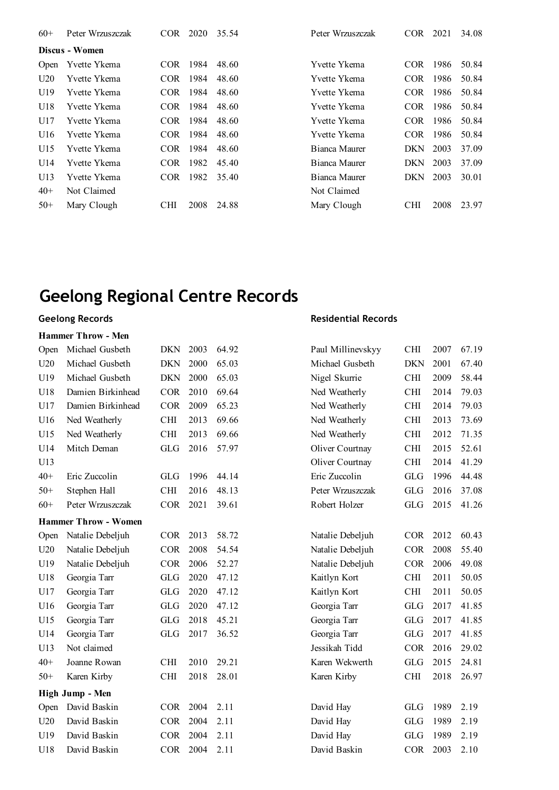| $60+$ | Peter Wrzuszczak | COR.       | 2020 | 35.54 | Peter Wrzuszczak | COR.       | 2021 | 34.08 |
|-------|------------------|------------|------|-------|------------------|------------|------|-------|
|       | Discus - Women   |            |      |       |                  |            |      |       |
| Open  | Yvette Ykema     | <b>COR</b> | 1984 | 48.60 | Yvette Ykema     | COR.       | 1986 | 50.84 |
| U20   | Yvette Ykema     | COR.       | 1984 | 48.60 | Yvette Ykema     | COR.       | 1986 | 50.84 |
| U19   | Yvette Ykema     | COR.       | 1984 | 48.60 | Yvette Ykema     | COR.       | 1986 | 50.84 |
| U18   | Yvette Ykema     | <b>COR</b> | 1984 | 48.60 | Yvette Ykema     | COR.       | 1986 | 50.84 |
| U17   | Yvette Ykema     | <b>COR</b> | 1984 | 48.60 | Yvette Ykema     | COR.       | 1986 | 50.84 |
| U16   | Yvette Ykema     | COR.       | 1984 | 48.60 | Yvette Ykema     | COR-       | 1986 | 50.84 |
| U15   | Yvette Ykema     | <b>COR</b> | 1984 | 48.60 | Bianca Maurer    | DKN        | 2003 | 37.09 |
| U14   | Yvette Ykema     | COR.       | 1982 | 45.40 | Bianca Maurer    | DKN.       | 2003 | 37.09 |
| U13   | Yvette Ykema     | <b>COR</b> | 1982 | 35.40 | Bianca Maurer    | DKN.       | 2003 | 30.01 |
| $40+$ | Not Claimed      |            |      |       | Not Claimed      |            |      |       |
| $50+$ | Mary Clough      | <b>CHI</b> | 2008 | 24.88 | Mary Clough      | <b>CHI</b> | 2008 | 23.97 |

#### **Hammer Throw - Men**

| Open  | Michael Gusbeth             | <b>DKN</b> | 2003 | 64.92 | Paul Millinevskyy | <b>CHI</b>  | 2007 | 67.19 |
|-------|-----------------------------|------------|------|-------|-------------------|-------------|------|-------|
| U20   | Michael Gusbeth             | <b>DKN</b> | 2000 | 65.03 | Michael Gusbeth   | <b>DKN</b>  | 2001 | 67.40 |
| U19   | Michael Gusbeth             | <b>DKN</b> | 2000 | 65.03 | Nigel Skurrie     | <b>CHI</b>  | 2009 | 58.44 |
| U18   | Damien Birkinhead           | <b>COR</b> | 2010 | 69.64 | Ned Weatherly     | <b>CHI</b>  | 2014 | 79.03 |
| U17   | Damien Birkinhead           | <b>COR</b> | 2009 | 65.23 | Ned Weatherly     | <b>CHI</b>  | 2014 | 79.03 |
| U16   | Ned Weatherly               | <b>CHI</b> | 2013 | 69.66 | Ned Weatherly     | <b>CHI</b>  | 2013 | 73.69 |
| U15   | Ned Weatherly               | <b>CHI</b> | 2013 | 69.66 | Ned Weatherly     | <b>CHI</b>  | 2012 | 71.35 |
| U14   | Mitch Deman                 | <b>GLG</b> | 2016 | 57.97 | Oliver Courtnay   | <b>CHI</b>  | 2015 | 52.61 |
| U13   |                             |            |      |       | Oliver Courtnay   | <b>CHI</b>  | 2014 | 41.29 |
| $40+$ | Eric Zuccolin               | <b>GLG</b> | 1996 | 44.14 | Eric Zuccolin     | <b>GLG</b>  | 1996 | 44.48 |
| $50+$ | Stephen Hall                | <b>CHI</b> | 2016 | 48.13 | Peter Wrzuszczak  | ${\rm GLG}$ | 2016 | 37.08 |
| $60+$ | Peter Wrzuszczak            | <b>COR</b> | 2021 | 39.61 | Robert Holzer     | GLG         | 2015 | 41.26 |
|       | <b>Hammer Throw - Women</b> |            |      |       |                   |             |      |       |
| Open  | Natalie Debeljuh            | <b>COR</b> | 2013 | 58.72 | Natalie Debeljuh  | <b>COR</b>  | 2012 | 60.43 |
| U20   | Natalie Debeljuh            | <b>COR</b> | 2008 | 54.54 | Natalie Debeljuh  | <b>COR</b>  | 2008 | 55.40 |
| U19   | Natalie Debeljuh            | <b>COR</b> | 2006 | 52.27 | Natalie Debeljuh  | <b>COR</b>  | 2006 | 49.08 |
| U18   | Georgia Tarr                | GLG        | 2020 | 47.12 | Kaitlyn Kort      | <b>CHI</b>  | 2011 | 50.05 |
| U17   | Georgia Tarr                | <b>GLG</b> | 2020 | 47.12 | Kaitlyn Kort      | <b>CHI</b>  | 2011 | 50.05 |
| U16   | Georgia Tarr                | <b>GLG</b> | 2020 | 47.12 | Georgia Tarr      | <b>GLG</b>  | 2017 | 41.85 |
| U15   | Georgia Tarr                | <b>GLG</b> | 2018 | 45.21 | Georgia Tarr      | <b>GLG</b>  | 2017 | 41.85 |
| U14   | Georgia Tarr                | <b>GLG</b> | 2017 | 36.52 | Georgia Tarr      | ${\rm GLG}$ | 2017 | 41.85 |
| U13   | Not claimed                 |            |      |       | Jessikah Tidd     | <b>COR</b>  | 2016 | 29.02 |
| $40+$ | Joanne Rowan                | <b>CHI</b> | 2010 | 29.21 | Karen Wekwerth    | <b>GLG</b>  | 2015 | 24.81 |
| $50+$ | Karen Kirby                 | <b>CHI</b> | 2018 | 28.01 | Karen Kirby       | CHI         | 2018 | 26.97 |
|       | High Jump - Men             |            |      |       |                   |             |      |       |
| Open  | David Baskin                | COR        | 2004 | 2.11  | David Hay         | <b>GLG</b>  | 1989 | 2.19  |
| U20   | David Baskin                | <b>COR</b> | 2004 | 2.11  | David Hay         | <b>GLG</b>  | 1989 | 2.19  |
| U19   | David Baskin                | <b>COR</b> | 2004 | 2.11  | David Hay         | ${\rm GLG}$ | 1989 | 2.19  |
| U18   | David Baskin                | COR        | 2004 | 2.11  | David Baskin      | <b>COR</b>  | 2003 | 2.10  |
|       |                             |            |      |       |                   |             |      |       |

#### **Geelong Records Residential Records**

| Paul Millinevskyy | <b>CHI</b> | 2007 | 67.19 |
|-------------------|------------|------|-------|
| Michael Gusbeth   | <b>DKN</b> | 2001 | 67.40 |
| Nigel Skurrie     | <b>CHI</b> | 2009 | 58.44 |
| Ned Weatherly     | <b>CHI</b> | 2014 | 79.03 |
| Ned Weatherly     | <b>CHI</b> | 2014 | 79.03 |
| Ned Weatherly     | <b>CHI</b> | 2013 | 73.69 |
| Ned Weatherly     | <b>CHI</b> | 2012 | 71.35 |
| Oliver Courtnay   | <b>CHI</b> | 2015 | 52.61 |
| Oliver Courtnay   | <b>CHI</b> | 2014 | 41.29 |
| Eric Zuccolin     | GLG        | 1996 | 44.48 |
| Peter Wrzuszczak  | <b>GLG</b> | 2016 | 37.08 |
| Robert Holzer     | <b>GLG</b> | 2015 | 41.26 |
|                   |            |      |       |
| Natalie Debeljuh  | <b>COR</b> | 2012 | 60.43 |
| Natalie Debeljuh  | <b>COR</b> | 2008 | 55.40 |
| Natalie Debeljuh  | <b>COR</b> | 2006 | 49.08 |
| Kaitlyn Kort      | CНI        | 2011 | 50.05 |
| Kaitlyn Kort      | <b>CHI</b> | 2011 | 50.05 |
| Georgia Tarr      | GLG        | 2017 | 41.85 |
| Georgia Tarr      | GLG        | 2017 | 41.85 |
| Georgia Tarr      | GLG        | 2017 | 41.85 |
| Jessikah Tidd     | <b>COR</b> | 2016 | 29.02 |
| Karen Wekwerth    | GLG        | 2015 | 24.81 |
| Karen Kirby       | <b>CHI</b> | 2018 | 26.97 |
|                   |            |      |       |
| David Hay         | GLG        | 1989 | 2.19  |
| David Hay         | <b>GLG</b> | 1989 | 2.19  |
| David Hay         | <b>GLG</b> | 1989 | 2.19  |
|                   |            |      |       |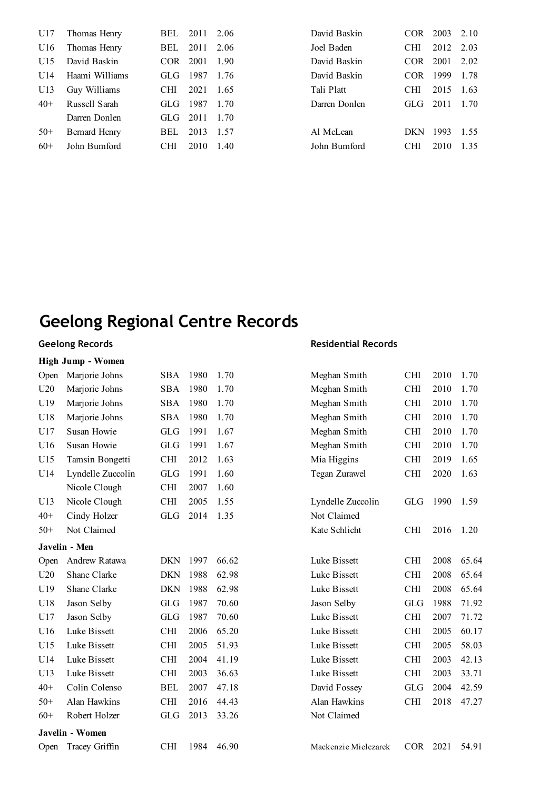| U17   | Thomas Henry   | BEL.       | 2011 | 2.06  | David Baskin  | COR.       | 2003 | 2.10 |
|-------|----------------|------------|------|-------|---------------|------------|------|------|
| U16   | Thomas Henry   | BEL        | 2011 | 2.06  | Joel Baden    | <b>CHI</b> | 2012 | 2.03 |
| U15   | David Baskin   | COR.       | 2001 | 1.90  | David Baskin  | COR.       | 2001 | 2.02 |
| U14   | Haami Williams | GLG        | 1987 | 1 76  | David Baskin  | COR.       | 1999 | 1.78 |
| U13   | Guy Williams   | <b>CHI</b> | 2021 | 1.65  | Tali Platt    | <b>CHI</b> | 2015 | 1.63 |
| $40+$ | Russell Sarah  | GLG.       | 1987 | 1 70  | Darren Donlen | GLG-       | 2011 | 1 70 |
|       | Darren Donlen  | GLG-       | 2011 | 1 70  |               |            |      |      |
| $50+$ | Bernard Henry  | BEL        | 2013 | -1.57 | Al McLean     | <b>DKN</b> | 1993 | 1.55 |
| $60+$ | John Bumford   | <b>CHI</b> | 2010 | 1.40  | John Bumford  | <b>CHI</b> | 2010 | 1.35 |
|       |                |            |      |       |               |            |      |      |

### **Geelong Records**

| <b>High Jump - Women</b> |  |  |  |
|--------------------------|--|--|--|
|--------------------------|--|--|--|

| Open  | Marjorie Johns    | SBA        | 1980 | 1.70  | Meghan Smith         | <b>CHI</b> | 2010 | 1.70  |
|-------|-------------------|------------|------|-------|----------------------|------------|------|-------|
| U20   | Marjorie Johns    | <b>SBA</b> | 1980 | 1.70  | Meghan Smith         | <b>CHI</b> | 2010 | 1.70  |
| U19   | Marjorie Johns    | SBA        | 1980 | 1.70  | Meghan Smith         | CНI        | 2010 | 1.70  |
| U18   | Marjorie Johns    | <b>SBA</b> | 1980 | 1.70  | Meghan Smith         | <b>CHI</b> | 2010 | 1.70  |
| U17   | Susan Howie       | <b>GLG</b> | 1991 | 1.67  | Meghan Smith         | <b>CHI</b> | 2010 | 1.70  |
| U16   | Susan Howie       | <b>GLG</b> | 1991 | 1.67  | Meghan Smith         | <b>CHI</b> | 2010 | 1.70  |
| U15   | Tamsin Bongetti   | <b>CHI</b> | 2012 | 1.63  | Mia Higgins          | <b>CHI</b> | 2019 | 1.65  |
| U14   | Lyndelle Zuccolin | <b>GLG</b> | 1991 | 1.60  | Tegan Zurawel        | <b>CHI</b> | 2020 | 1.63  |
|       | Nicole Clough     | <b>CHI</b> | 2007 | 1.60  |                      |            |      |       |
| U13   | Nicole Clough     | <b>CHI</b> | 2005 | 1.55  | Lyndelle Zuccolin    | <b>GLG</b> | 1990 | 1.59  |
| $40+$ | Cindy Holzer      | <b>GLG</b> | 2014 | 1.35  | Not Claimed          |            |      |       |
| $50+$ | Not Claimed       |            |      |       | Kate Schlicht        | <b>CHI</b> | 2016 | 1.20  |
|       | Javelin - Men     |            |      |       |                      |            |      |       |
| Open  | Andrew Ratawa     | <b>DKN</b> | 1997 | 66.62 | Luke Bissett         | <b>CHI</b> | 2008 | 65.64 |
| U20   | Shane Clarke      | <b>DKN</b> | 1988 | 62.98 | Luke Bissett         | <b>CHI</b> | 2008 | 65.64 |
| U19   | Shane Clarke      | <b>DKN</b> | 1988 | 62.98 | Luke Bissett         | <b>CHI</b> | 2008 | 65.64 |
| U18   | Jason Selby       | <b>GLG</b> | 1987 | 70.60 | Jason Selby          | <b>GLG</b> | 1988 | 71.92 |
| U17   | Jason Selby       | <b>GLG</b> | 1987 | 70.60 | Luke Bissett         | <b>CHI</b> | 2007 | 71.72 |
| U16   | Luke Bissett      | <b>CHI</b> | 2006 | 65.20 | Luke Bissett         | <b>CHI</b> | 2005 | 60.17 |
| U15   | Luke Bissett      | <b>CHI</b> | 2005 | 51.93 | Luke Bissett         | <b>CHI</b> | 2005 | 58.03 |
| U14   | Luke Bissett      | <b>CHI</b> | 2004 | 41.19 | Luke Bissett         | <b>CHI</b> | 2003 | 42.13 |
| U13   | Luke Bissett      | <b>CHI</b> | 2003 | 36.63 | Luke Bissett         | <b>CHI</b> | 2003 | 33.71 |
| $40+$ | Colin Colenso     | <b>BEL</b> | 2007 | 47.18 | David Fossey         | <b>GLG</b> | 2004 | 42.59 |
| $50+$ | Alan Hawkins      | <b>CHI</b> | 2016 | 44.43 | Alan Hawkins         | <b>CHI</b> | 2018 | 47.27 |
| $60+$ | Robert Holzer     | <b>GLG</b> | 2013 | 33.26 | Not Claimed          |            |      |       |
|       | Javelin - Women   |            |      |       |                      |            |      |       |
| Open  | Tracey Griffin    | CHI        | 1984 | 46.90 | Mackenzie Mielczarek | <b>COR</b> | 2021 | 54.91 |
|       |                   |            |      |       |                      |            |      |       |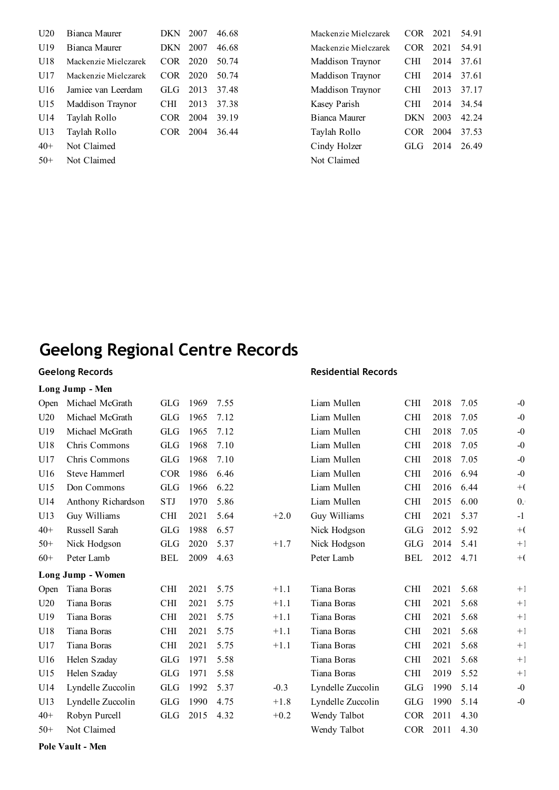| U20   | Bianca Maurer           | DKN.       | 2007 | 46.68 | Mackenzie Mielczarek    | <b>COR</b> | 2021 | 54.91 |
|-------|-------------------------|------------|------|-------|-------------------------|------------|------|-------|
| U19   | Bianca Maurer           | <b>DKN</b> | 2007 | 46.68 | Mackenzie Mielczarek    | COR.       | 2021 | 54.91 |
| U18   | Mackenzie Mielczarek    | COR.       | 2020 | 50.74 | <b>Maddison Traynor</b> | <b>CHI</b> | 2014 | 37.61 |
| U17   | Mackenzie Mielczarek    | COR.       | 2020 | 50.74 | Maddison Traynor        | <b>CHI</b> | 2014 | 37.61 |
| U16   | Jamiee van Leerdam      | GLG-       | 2013 | 37.48 | Maddison Traynor        | <b>CHI</b> | 2013 | 37.17 |
| U15   | <b>Maddison Traynor</b> | <b>CHI</b> | 2013 | 37.38 | Kasey Parish            | <b>CHI</b> | 2014 | 34.54 |
| U14   | Taylah Rollo            | COR.       | 2004 | 39.19 | Bianca Maurer           | <b>DKN</b> | 2003 | 42.24 |
| U13   | Taylah Rollo            | COR.       | 2004 | 36.44 | Taylah Rollo            | COR-       | 2004 | 37.53 |
| $40+$ | Not Claimed             |            |      |       | Cindy Holzer            | GLG        | 2014 | 26.49 |
| $50+$ | Not Claimed             |            |      |       | Not Claimed             |            |      |       |

| 46.68 | Mackenzie Mielczarek | COR        | 2021 | 54.91 |
|-------|----------------------|------------|------|-------|
| 46.68 | Mackenzie Mielczarek | <b>COR</b> | 2021 | 54.91 |
| 50.74 | Maddison Traynor     | CHI        | 2014 | 37.61 |
| 50.74 | Maddison Traynor     | <b>CHI</b> | 2014 | 37.61 |
| 37.48 | Maddison Traynor     | CHI        | 2013 | 37.17 |
| 37.38 | Kasey Parish         | CHI        | 2014 | 34.54 |
| 39.19 | Bianca Maurer        | DKN        | 2003 | 42.24 |
| 36.44 | Taylah Rollo         | COR.       | 2004 | 37.53 |
|       | Cindy Holzer         | GL G       | 2014 | 26.49 |
|       | Not Claimed          |            |      |       |
|       |                      |            |      |       |

### **Geelong Records Long Jump - Men**

#### **Residential Records**

| Open  | Michael McGrath      | GLG        | 1969 | 7.55 |        | Liam Mullen       | <b>CHI</b> | 2018 | 7.05 | $-0$       |
|-------|----------------------|------------|------|------|--------|-------------------|------------|------|------|------------|
| U20   | Michael McGrath      | <b>GLG</b> | 1965 | 7.12 |        | Liam Mullen       | <b>CHI</b> | 2018 | 7.05 | $-0$       |
| U19   | Michael McGrath      | <b>GLG</b> | 1965 | 7.12 |        | Liam Mullen       | <b>CHI</b> | 2018 | 7.05 | $-0$       |
| U18   | Chris Commons        | <b>GLG</b> | 1968 | 7.10 |        | Liam Mullen       | <b>CHI</b> | 2018 | 7.05 | $-0$       |
| U17   | Chris Commons        | <b>GLG</b> | 1968 | 7.10 |        | Liam Mullen       | <b>CHI</b> | 2018 | 7.05 | $-0$       |
| U16   | <b>Steve Hammerl</b> | <b>COR</b> | 1986 | 6.46 |        | Liam Mullen       | <b>CHI</b> | 2016 | 6.94 | $-0$       |
| U15   | Don Commons          | <b>GLG</b> | 1966 | 6.22 |        | Liam Mullen       | <b>CHI</b> | 2016 | 6.44 | $+$ (      |
| U14   | Anthony Richardson   | <b>STJ</b> | 1970 | 5.86 |        | Liam Mullen       | <b>CHI</b> | 2015 | 6.00 | $\theta$ . |
| U13   | Guy Williams         | <b>CHI</b> | 2021 | 5.64 | $+2.0$ | Guy Williams      | <b>CHI</b> | 2021 | 5.37 | $-1$       |
| $40+$ | Russell Sarah        | <b>GLG</b> | 1988 | 6.57 |        | Nick Hodgson      | <b>GLG</b> | 2012 | 5.92 | $+$ (      |
| $50+$ | Nick Hodgson         | <b>GLG</b> | 2020 | 5.37 | $+1.7$ | Nick Hodgson      | <b>GLG</b> | 2014 | 5.41 | $+1$       |
| $60+$ | Peter Lamb           | <b>BEL</b> | 2009 | 4.63 |        | Peter Lamb        | BEL        | 2012 | 4.71 | $+$ (      |
|       |                      |            |      |      |        |                   |            |      |      |            |
|       | Long Jump - Women    |            |      |      |        |                   |            |      |      |            |
| Open  | Tiana Boras          | <b>CHI</b> | 2021 | 5.75 | $+1.1$ | Tiana Boras       | <b>CHI</b> | 2021 | 5.68 | $+1$       |
| U20   | Tiana Boras          | <b>CHI</b> | 2021 | 5.75 | $+1.1$ | Tiana Boras       | <b>CHI</b> | 2021 | 5.68 | $+1$       |
| U19   | Tiana Boras          | <b>CHI</b> | 2021 | 5.75 | $+1.1$ | Tiana Boras       | <b>CHI</b> | 2021 | 5.68 | $+1$       |
| U18   | Tiana Boras          | <b>CHI</b> | 2021 | 5.75 | $+1.1$ | Tiana Boras       | <b>CHI</b> | 2021 | 5.68 | $+1$       |
| U17   | Tiana Boras          | <b>CHI</b> | 2021 | 5.75 | $+1.1$ | Tiana Boras       | <b>CHI</b> | 2021 | 5.68 | $+1$       |
| U16   | Helen Szaday         | <b>GLG</b> | 1971 | 5.58 |        | Tiana Boras       | <b>CHI</b> | 2021 | 5.68 | $+1$       |
| U15   | Helen Szaday         | <b>GLG</b> | 1971 | 5.58 |        | Tiana Boras       | <b>CHI</b> | 2019 | 5.52 | $+1$       |
| U14   | Lyndelle Zuccolin    | <b>GLG</b> | 1992 | 5.37 | $-0.3$ | Lyndelle Zuccolin | <b>GLG</b> | 1990 | 5.14 | $-0$       |
| U13   | Lyndelle Zuccolin    | <b>GLG</b> | 1990 | 4.75 | $+1.8$ | Lyndelle Zuccolin | <b>GLG</b> | 1990 | 5.14 | $-0$       |
| $40+$ | Robyn Purcell        | <b>GLG</b> | 2015 | 4.32 | $+0.2$ | Wendy Talbot      | <b>COR</b> | 2011 | 4.30 |            |
| $50+$ | Not Claimed          |            |      |      |        | Wendy Talbot      | <b>COR</b> | 2011 | 4.30 |            |

**Pole Vault - Men**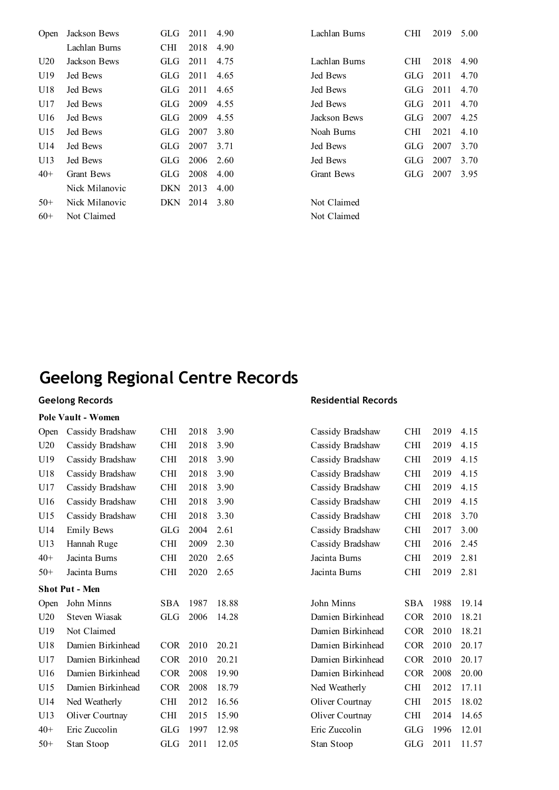| <b>Open</b> | Jackson Bews      | GLG-       | 2011 | 4.90 | Lachlan Burns     | CHI | 2019 | 5.00 |
|-------------|-------------------|------------|------|------|-------------------|-----|------|------|
|             | Lachlan Burns     | <b>CHI</b> | 2018 | 4.90 |                   |     |      |      |
| U20         | Jackson Bews      | <b>GLG</b> | 2011 | 4.75 | Lachlan Burns     | CНI | 2018 | 4.90 |
| U19         | Jed Bews          | GLG-       | 2011 | 4.65 | Jed Bews          | GLG | 2011 | 4.70 |
| U18         | Jed Bews          | GLG-       | 2011 | 4.65 | Jed Bews          | GLG | 2011 | 4.70 |
| U17         | Jed Bews          | GLG        | 2009 | 4.55 | Jed Bews          | GLG | 2011 | 4.70 |
| U16         | Jed Bews          | GLG-       | 2009 | 4.55 | Jackson Bews      | GLG | 2007 | 4.25 |
| U15         | Jed Bews          | GLG        | 2007 | 3.80 | Noah Burns        | CНI | 2021 | 4.10 |
| U14         | Jed Bews          | GLG        | 2007 | 3.71 | Jed Bews          | GLG | 2007 | 3.70 |
| U13         | Jed Bews          | GLG-       | 2006 | 2.60 | Jed Bews          | GLG | 2007 | 3.70 |
| $40+$       | <b>Grant Bews</b> | GLG-       | 2008 | 4.00 | <b>Grant Bews</b> | GLG | 2007 | 3.95 |
|             | Nick Milanovic    | <b>DKN</b> | 2013 | 4.00 |                   |     |      |      |
| $50+$       | Nick Milanovic    | DKN        | 2014 | 3.80 | Not Claimed       |     |      |      |
| $60+$       | Not Claimed       |            |      |      | Not Claimed       |     |      |      |

| Lachlan Burns               | CHI          | 2019         | 5.00         |
|-----------------------------|--------------|--------------|--------------|
| Lachlan Burns               | CHI          | 2018         | 490          |
| <b>Jed Bews</b><br>Jed Bews | GL G<br>GL G | 2011<br>2011 | 4 70<br>4 70 |
| Jed Bews                    | GL G         | 2011         | 4 70         |
| Jackson Bews<br>Noah Burns  | GL G<br>CHI  | 2007<br>2021 | 4.25<br>4 10 |
| <b>Jed Bews</b>             | GL G         | 2007         | 3.70         |
| <b>Jed Bews</b>             | GL G         | 2007         | 3.70         |
| Grant Bews                  | GL G         | 2007         | 395          |
| Not Claimed                 |              |              |              |

# **Geelong Regional Centre Records**

### **Geelong Records**

#### **Pole Vault - Women**

| Open  | Cassidy Bradshaw      | <b>CHI</b> | 2018 | 3.90  | Cassidy Bradshaw  | <b>CHI</b> | 2019 | 4.15  |
|-------|-----------------------|------------|------|-------|-------------------|------------|------|-------|
| U20   | Cassidy Bradshaw      | <b>CHI</b> | 2018 | 3.90  | Cassidy Bradshaw  | <b>CHI</b> | 2019 | 4.15  |
| U19   | Cassidy Bradshaw      | <b>CHI</b> | 2018 | 3.90  | Cassidy Bradshaw  | <b>CHI</b> | 2019 | 4.15  |
| U18   | Cassidy Bradshaw      | <b>CHI</b> | 2018 | 3.90  | Cassidy Bradshaw  | CНI        | 2019 | 4.15  |
| U17   | Cassidy Bradshaw      | <b>CHI</b> | 2018 | 3.90  | Cassidy Bradshaw  | <b>CHI</b> | 2019 | 4.15  |
| U16   | Cassidy Bradshaw      | <b>CHI</b> | 2018 | 3.90  | Cassidy Bradshaw  | <b>CHI</b> | 2019 | 4.15  |
| U15   | Cassidy Bradshaw      | <b>CHI</b> | 2018 | 3.30  | Cassidy Bradshaw  | <b>CHI</b> | 2018 | 3.70  |
| U14   | <b>Emily Bews</b>     | <b>GLG</b> | 2004 | 2.61  | Cassidy Bradshaw  | <b>CHI</b> | 2017 | 3.00  |
| U13   | Hannah Ruge           | <b>CHI</b> | 2009 | 2.30  | Cassidy Bradshaw  | <b>CHI</b> | 2016 | 2.45  |
| $40+$ | Jacinta Burns         | <b>CHI</b> | 2020 | 2.65  | Jacinta Burns     | <b>CHI</b> | 2019 | 2.81  |
| $50+$ | Jacinta Burns         | <b>CHI</b> | 2020 | 2.65  | Jacinta Burns     | <b>CHI</b> | 2019 | 2.81  |
|       | <b>Shot Put - Men</b> |            |      |       |                   |            |      |       |
| Open  | John Minns            | SBA        | 1987 | 18.88 | John Minns        | SBA        | 1988 | 19.14 |
| U20   | Steven Wiasak         | GLG        | 2006 | 14.28 | Damien Birkinhead | <b>COR</b> | 2010 | 18.21 |
| U19   | Not Claimed           |            |      |       | Damien Birkinhead | <b>COR</b> | 2010 | 18.21 |
| U18   | Damien Birkinhead     | <b>COR</b> | 2010 | 20.21 | Damien Birkinhead | <b>COR</b> | 2010 | 20.17 |
| U17   | Damien Birkinhead     | <b>COR</b> | 2010 | 20.21 | Damien Birkinhead | <b>COR</b> | 2010 | 20.17 |
| U16   | Damien Birkinhead     | <b>COR</b> | 2008 | 19.90 | Damien Birkinhead | <b>COR</b> | 2008 | 20.00 |
| U15   | Damien Birkinhead     | <b>COR</b> | 2008 | 18.79 | Ned Weatherly     | <b>CHI</b> | 2012 | 17.11 |
| U14   | Ned Weatherly         | <b>CHI</b> | 2012 | 16.56 | Oliver Courtnay   | <b>CHI</b> | 2015 | 18.02 |
| U13   | Oliver Courtnay       | <b>CHI</b> | 2015 | 15.90 | Oliver Courtnay   | <b>CHI</b> | 2014 | 14.65 |
| $40+$ | Eric Zuccolin         | <b>GLG</b> | 1997 | 12.98 | Eric Zuccolin     | <b>GLG</b> | 1996 | 12.01 |
| $50+$ | Stan Stoop            | GLG        | 2011 | 12.05 | Stan Stoop        | GLG        | 2011 | 11.57 |

| Cassidy Bradshaw  | CHI        | 2019 | 4.15  |
|-------------------|------------|------|-------|
| Cassidy Bradshaw  | <b>CHI</b> | 2019 | 4.15  |
| Cassidy Bradshaw  | <b>CHI</b> | 2019 | 4.15  |
| Cassidy Bradshaw  | <b>CHI</b> | 2019 | 4.15  |
| Cassidy Bradshaw  | <b>CHI</b> | 2019 | 4.15  |
| Cassidy Bradshaw  | <b>CHI</b> | 2019 | 4.15  |
| Cassidy Bradshaw  | <b>CHI</b> | 2018 | 3.70  |
| Cassidy Bradshaw  | CНI        | 2017 | 3.00  |
| Cassidy Bradshaw  | <b>CHI</b> | 2016 | 2.45  |
| Jacinta Burns     | <b>CHI</b> | 2019 | 2.81  |
| Jacinta Burns     | <b>CHI</b> | 2019 | 2.81  |
|                   |            |      |       |
| John Minns        | SBA        | 1988 | 19.14 |
| Damien Birkinhead | <b>COR</b> | 2010 | 18.21 |
| Damien Birkinhead | <b>COR</b> | 2010 | 18.21 |
| Damien Birkinhead |            |      |       |
|                   | <b>COR</b> | 2010 | 20.17 |
| Damien Birkinhead | <b>COR</b> | 2010 | 20.17 |
| Damien Birkinhead | <b>COR</b> | 2008 | 20.00 |
| Ned Weatherly     | <b>CHI</b> | 2012 | 17.11 |
| Oliver Courtnay   | <b>CHI</b> | 2015 | 18.02 |
| Oliver Courtnay   | <b>CHI</b> | 2014 | 14.65 |
| Eric Zuccolin     | GLG        | 1996 | 12.01 |
| Stan Stoop        | <b>GLG</b> | 2011 | 11.57 |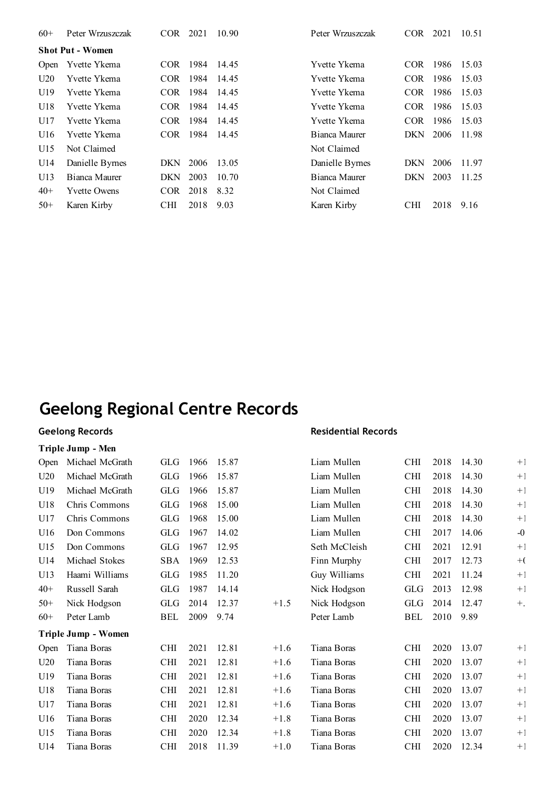| $60+$       | Peter Wrzuszczak        | COR.       | 2021 | 10.90 | Peter Wrzuszczak | <b>COR</b> | 2021 | 10.51 |
|-------------|-------------------------|------------|------|-------|------------------|------------|------|-------|
|             | <b>Shot Put - Women</b> |            |      |       |                  |            |      |       |
| <b>Open</b> | Yvette Ykema            | COR.       | 1984 | 14.45 | Yvette Ykema     | COR.       | 1986 | 15.03 |
| U20         | Yvette Ykema            | COR.       | 1984 | 14.45 | Yvette Ykema     | <b>COR</b> | 1986 | 15.03 |
| U19         | Yvette Ykema            | <b>COR</b> | 1984 | 14.45 | Yvette Ykema     | <b>COR</b> | 1986 | 15.03 |
| U18         | Yvette Ykema            | COR.       | 1984 | 14.45 | Yvette Ykema     | COR.       | 1986 | 15.03 |
| U17         | Yvette Ykema            | COR.       | 1984 | 14.45 | Yvette Ykema     | <b>COR</b> | 1986 | 15.03 |
| U16         | Yvette Ykema            | COR.       | 1984 | 14.45 | Bianca Maurer    | DKN        | 2006 | 11.98 |
| U15         | Not Claimed             |            |      |       | Not Claimed      |            |      |       |
| U14         | Danielle Byrnes         | DKN        | 2006 | 13.05 | Danielle Byrnes  | DKN        | 2006 | 11.97 |
| U13         | Bianca Maurer           | DKN        | 2003 | 10.70 | Bianca Maurer    | DKN.       | 2003 | 11.25 |
| $40+$       | <b>Yvette Owens</b>     | <b>COR</b> | 2018 | 8.32  | Not Claimed      |            |      |       |
| $50+$       | Karen Kirby             | <b>CHI</b> | 2018 | 9.03  | Karen Kirby      | <b>CHI</b> | 2018 | 9.16  |

### **Geelong Records**

#### **Triple Jump - Men**

|       | I riple Jump - Men  |            |      |       |        |               |            |      |       |       |
|-------|---------------------|------------|------|-------|--------|---------------|------------|------|-------|-------|
| Open  | Michael McGrath     | GLG        | 1966 | 15.87 |        | Liam Mullen   | <b>CHI</b> | 2018 | 14.30 | $+1$  |
| U20   | Michael McGrath     | <b>GLG</b> | 1966 | 15.87 |        | Liam Mullen   | <b>CHI</b> | 2018 | 14.30 | $+1$  |
| U19   | Michael McGrath     | <b>GLG</b> | 1966 | 15.87 |        | Liam Mullen   | <b>CHI</b> | 2018 | 14.30 | $+1$  |
| U18   | Chris Commons       | <b>GLG</b> | 1968 | 15.00 |        | Liam Mullen   | <b>CHI</b> | 2018 | 14.30 | $+1$  |
| U17   | Chris Commons       | <b>GLG</b> | 1968 | 15.00 |        | Liam Mullen   | <b>CHI</b> | 2018 | 14.30 | $+1$  |
| U16   | Don Commons         | <b>GLG</b> | 1967 | 14.02 |        | Liam Mullen   | <b>CHI</b> | 2017 | 14.06 | $-0$  |
| U15   | Don Commons         | <b>GLG</b> | 1967 | 12.95 |        | Seth McCleish | <b>CHI</b> | 2021 | 12.91 | $+1$  |
| U14   | Michael Stokes      | SBA        | 1969 | 12.53 |        | Finn Murphy   | <b>CHI</b> | 2017 | 12.73 | $+$ ( |
| U13   | Haami Williams      | <b>GLG</b> | 1985 | 11.20 |        | Guy Williams  | <b>CHI</b> | 2021 | 11.24 | $+1$  |
| $40+$ | Russell Sarah       | <b>GLG</b> | 1987 | 14.14 |        | Nick Hodgson  | <b>GLG</b> | 2013 | 12.98 | $+1$  |
| $50+$ | Nick Hodgson        | <b>GLG</b> | 2014 | 12.37 | $+1.5$ | Nick Hodgson  | GLG        | 2014 | 12.47 | $+$ . |
| $60+$ | Peter Lamb          | BEL        | 2009 | 9.74  |        | Peter Lamb    | <b>BEL</b> | 2010 | 9.89  |       |
|       | Triple Jump - Women |            |      |       |        |               |            |      |       |       |
| Open  | Tiana Boras         | <b>CHI</b> | 2021 | 12.81 | $+1.6$ | Tiana Boras   | <b>CHI</b> | 2020 | 13.07 | $+1$  |
| U20   | Tiana Boras         | <b>CHI</b> | 2021 | 12.81 | $+1.6$ | Tiana Boras   | <b>CHI</b> | 2020 | 13.07 | $+1$  |
| U19   | Tiana Boras         | <b>CHI</b> | 2021 | 12.81 | $+1.6$ | Tiana Boras   | <b>CHI</b> | 2020 | 13.07 | $+1$  |
| U18   | Tiana Boras         | <b>CHI</b> | 2021 | 12.81 | $+1.6$ | Tiana Boras   | <b>CHI</b> | 2020 | 13.07 | $+1$  |
| U17   | Tiana Boras         | <b>CHI</b> | 2021 | 12.81 | $+1.6$ | Tiana Boras   | <b>CHI</b> | 2020 | 13.07 | $+1$  |
| U16   | Tiana Boras         | <b>CHI</b> | 2020 | 12.34 | $+1.8$ | Tiana Boras   | <b>CHI</b> | 2020 | 13.07 | $+1$  |
| U15   | Tiana Boras         | <b>CHI</b> | 2020 | 12.34 | $+1.8$ | Tiana Boras   | <b>CHI</b> | 2020 | 13.07 | $+1$  |
| U14   | Tiana Boras         | <b>CHI</b> | 2018 | 11.39 | $+1.0$ | Tiana Boras   | <b>CHI</b> | 2020 | 12.34 | $+1$  |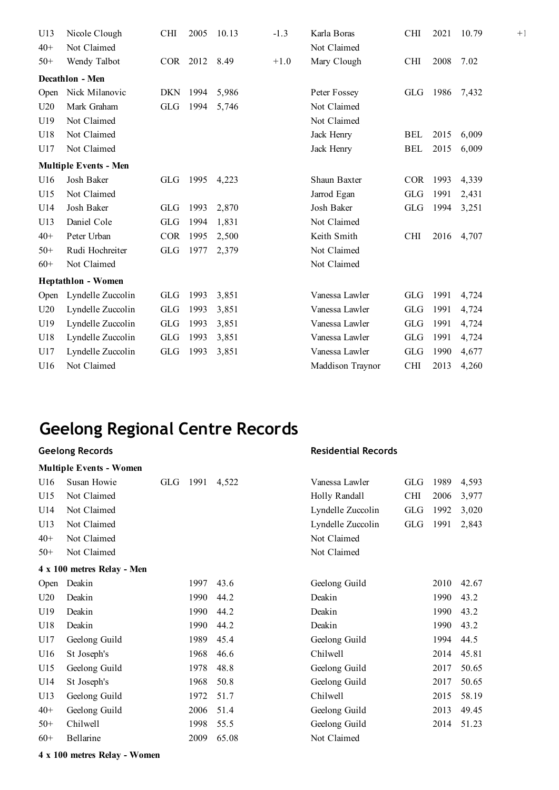| U13   | Nicole Clough                | <b>CHI</b> | 2005     | 10.13 | $-1.3$ | Karla Boras      | <b>CHI</b> | 2021 | 10.79 |
|-------|------------------------------|------------|----------|-------|--------|------------------|------------|------|-------|
| $40+$ | Not Claimed                  |            |          |       |        | Not Claimed      |            |      |       |
| $50+$ | Wendy Talbot                 |            | COR 2012 | 8.49  | $+1.0$ | Mary Clough      | <b>CHI</b> | 2008 | 7.02  |
|       | Decathlon - Men              |            |          |       |        |                  |            |      |       |
| Open  | Nick Milanovic               | DKN        | 1994     | 5,986 |        | Peter Fossey     | <b>GLG</b> | 1986 | 7,432 |
| U20   | Mark Graham                  | GLG        | 1994     | 5,746 |        | Not Claimed      |            |      |       |
| U19   | Not Claimed                  |            |          |       |        | Not Claimed      |            |      |       |
| U18   | Not Claimed                  |            |          |       |        | Jack Henry       | <b>BEL</b> | 2015 | 6,009 |
| U17   | Not Claimed                  |            |          |       |        | Jack Henry       | <b>BEL</b> | 2015 | 6,009 |
|       | <b>Multiple Events - Men</b> |            |          |       |        |                  |            |      |       |
| U16   | Josh Baker                   | GLG        | 1995     | 4,223 |        | Shaun Baxter     | <b>COR</b> | 1993 | 4,339 |
| U15   | Not Claimed                  |            |          |       |        | Jarrod Egan      | <b>GLG</b> | 1991 | 2,431 |
| U14   | Josh Baker                   | <b>GLG</b> | 1993     | 2,870 |        | Josh Baker       | <b>GLG</b> | 1994 | 3,251 |
| U13   | Daniel Cole                  | <b>GLG</b> | 1994     | 1,831 |        | Not Claimed      |            |      |       |
| $40+$ | Peter Urban                  | <b>COR</b> | 1995     | 2,500 |        | Keith Smith      | <b>CHI</b> | 2016 | 4,707 |
| $50+$ | Rudi Hochreiter              | <b>GLG</b> | 1977     | 2,379 |        | Not Claimed      |            |      |       |
| $60+$ | Not Claimed                  |            |          |       |        | Not Claimed      |            |      |       |
|       | <b>Heptathlon - Women</b>    |            |          |       |        |                  |            |      |       |
| Open  | Lyndelle Zuccolin            | GLG        | 1993     | 3,851 |        | Vanessa Lawler   | GLG        | 1991 | 4,724 |
| U20   | Lyndelle Zuccolin            | <b>GLG</b> | 1993     | 3,851 |        | Vanessa Lawler   | <b>GLG</b> | 1991 | 4,724 |
| U19   | Lyndelle Zuccolin            | <b>GLG</b> | 1993     | 3,851 |        | Vanessa Lawler   | <b>GLG</b> | 1991 | 4,724 |
| U18   | Lyndelle Zuccolin            | <b>GLG</b> | 1993     | 3,851 |        | Vanessa Lawler   | <b>GLG</b> | 1991 | 4,724 |
| U17   | Lyndelle Zuccolin            | <b>GLG</b> | 1993     | 3,851 |        | Vanessa Lawler   | <b>GLG</b> | 1990 | 4,677 |
| U16   | Not Claimed                  |            |          |       |        | Maddison Traynor | <b>CHI</b> | 2013 | 4,260 |

 $+1$ .

# **Geelong Regional Centre Records**

|       | <b>Geelong Records</b>         |            |      |       | <b>Residential Records</b> |            |      |       |
|-------|--------------------------------|------------|------|-------|----------------------------|------------|------|-------|
|       | <b>Multiple Events - Women</b> |            |      |       |                            |            |      |       |
| U16   | Susan Howie                    | <b>GLG</b> | 1991 | 4,522 | Vanessa Lawler             | <b>GLG</b> | 1989 | 4,593 |
| U15   | Not Claimed                    |            |      |       | Holly Randall              | <b>CHI</b> | 2006 | 3,977 |
| U14   | Not Claimed                    |            |      |       | Lyndelle Zuccolin          | <b>GLG</b> | 1992 | 3,020 |
| U13   | Not Claimed                    |            |      |       | Lyndelle Zuccolin          | <b>GLG</b> | 1991 | 2,843 |
| $40+$ | Not Claimed                    |            |      |       | Not Claimed                |            |      |       |
| $50+$ | Not Claimed                    |            |      |       | Not Claimed                |            |      |       |
|       | 4 x 100 metres Relay - Men     |            |      |       |                            |            |      |       |
| Open  | Deakin                         |            | 1997 | 43.6  | Geelong Guild              |            | 2010 | 42.67 |
| U20   | Deakin                         |            | 1990 | 44.2  | Deakin                     |            | 1990 | 43.2  |
| U19   | Deakin                         |            | 1990 | 44.2  | Deakin                     |            | 1990 | 43.2  |
| U18   | Deakin                         |            | 1990 | 44.2  | Deakin                     |            | 1990 | 43.2  |
| U17   | Geelong Guild                  |            | 1989 | 45.4  | Geelong Guild              |            | 1994 | 44.5  |
| U16   | St Joseph's                    |            | 1968 | 46.6  | Chilwell                   |            | 2014 | 45.81 |
| U15   | Geelong Guild                  |            | 1978 | 48.8  | Geelong Guild              |            | 2017 | 50.65 |
| U14   | St Joseph's                    |            | 1968 | 50.8  | Geelong Guild              |            | 2017 | 50.65 |
| U13   | Geelong Guild                  |            | 1972 | 51.7  | Chilwell                   |            | 2015 | 58.19 |
| $40+$ | Geelong Guild                  |            | 2006 | 51.4  | Geelong Guild              |            | 2013 | 49.45 |
| $50+$ | Chilwell                       |            | 1998 | 55.5  | Geelong Guild              |            | 2014 | 51.23 |
| $60+$ | Bellarine                      |            | 2009 | 65.08 | Not Claimed                |            |      |       |

**4 x 100 metres Relay - Women**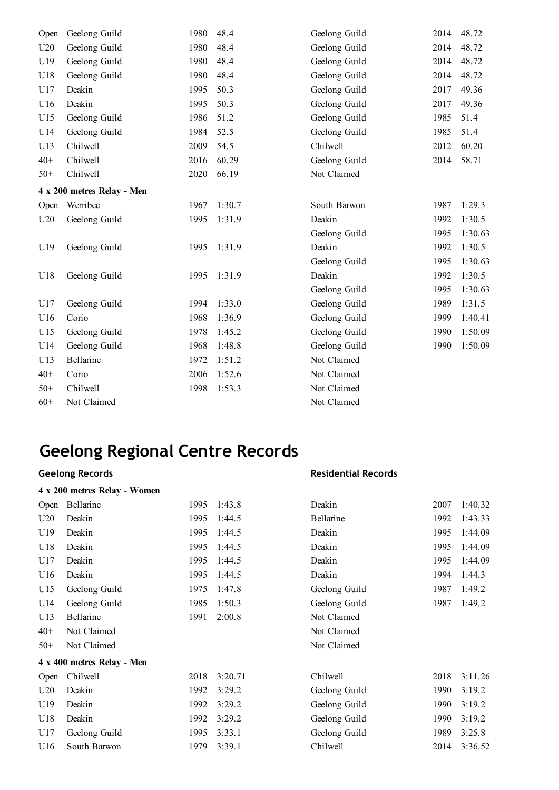| Open  | Geelong Guild              | 1980 | 48.4   | Geelong Guild | 2014 | 48.72   |
|-------|----------------------------|------|--------|---------------|------|---------|
| U20   | Geelong Guild              | 1980 | 48.4   | Geelong Guild | 2014 | 48.72   |
| U19   | Geelong Guild              | 1980 | 48.4   | Geelong Guild | 2014 | 48.72   |
| U18   | Geelong Guild              | 1980 | 48.4   | Geelong Guild | 2014 | 48.72   |
| U17   | Deakin                     | 1995 | 50.3   | Geelong Guild | 2017 | 49.36   |
| U16   | Deakin                     | 1995 | 50.3   | Geelong Guild | 2017 | 49.36   |
| U15   | Geelong Guild              | 1986 | 51.2   | Geelong Guild | 1985 | 51.4    |
| U14   | Geelong Guild              | 1984 | 52.5   | Geelong Guild | 1985 | 51.4    |
| U13   | Chilwell                   | 2009 | 54.5   | Chilwell      | 2012 | 60.20   |
| $40+$ | Chilwell                   | 2016 | 60.29  | Geelong Guild | 2014 | 58.71   |
| $50+$ | Chilwell                   | 2020 | 66.19  | Not Claimed   |      |         |
|       | 4 x 200 metres Relay - Men |      |        |               |      |         |
| Open  | Werribee                   | 1967 | 1:30.7 | South Barwon  | 1987 | 1:29.3  |
| U20   | Geelong Guild              | 1995 | 1:31.9 | Deakin        | 1992 | 1:30.5  |
|       |                            |      |        | Geelong Guild | 1995 | 1:30.63 |
| U19   | Geelong Guild              | 1995 | 1:31.9 | Deakin        | 1992 | 1:30.5  |
|       |                            |      |        | Geelong Guild | 1995 | 1:30.63 |
| U18   | Geelong Guild              | 1995 | 1:31.9 | Deakin        | 1992 | 1:30.5  |
|       |                            |      |        | Geelong Guild | 1995 | 1:30.63 |
| U17   | Geelong Guild              | 1994 | 1:33.0 | Geelong Guild | 1989 | 1:31.5  |
| U16   | Corio                      | 1968 | 1:36.9 | Geelong Guild | 1999 | 1:40.41 |
| U15   | Geelong Guild              | 1978 | 1:45.2 | Geelong Guild | 1990 | 1:50.09 |
| U14   | Geelong Guild              | 1968 | 1:48.8 | Geelong Guild | 1990 | 1:50.09 |
| U13   | Bellarine                  | 1972 | 1:51.2 | Not Claimed   |      |         |
| $40+$ | Corio                      | 2006 | 1:52.6 | Not Claimed   |      |         |
| $50+$ | Chilwell                   | 1998 | 1:53.3 | Not Claimed   |      |         |
| $60+$ | Not Claimed                |      |        | Not Claimed   |      |         |

### **Geelong Records**

#### **4 x 200 metres Relay - Women**

| Open  | Bellarine                  | 1995 | 1:43.8  | Deakin        | 2007 | 1:40.32 |
|-------|----------------------------|------|---------|---------------|------|---------|
| U20   | Deakin                     | 1995 | 1:44.5  | Bellarine     | 1992 | 1:43.33 |
| U19   | Deakin                     | 1995 | 1:44.5  | Deakin        | 1995 | 1:44.09 |
| U18   | Deakin                     | 1995 | 1:44.5  | Deakin        | 1995 | 1:44.09 |
| U17   | Deakin                     | 1995 | 1:44.5  | Deakin        | 1995 | 1:44.09 |
| U16   | Deakin                     | 1995 | 1:44.5  | Deakin        | 1994 | 1:44.3  |
| U15   | Geelong Guild              | 1975 | 1:47.8  | Geelong Guild | 1987 | 1:49.2  |
| U14   | Geelong Guild              | 1985 | 1:50.3  | Geelong Guild | 1987 | 1:49.2  |
| U13   | Bellarine                  | 1991 | 2:00.8  | Not Claimed   |      |         |
| $40+$ | Not Claimed                |      |         | Not Claimed   |      |         |
| $50+$ | Not Claimed                |      |         | Not Claimed   |      |         |
|       | 4 x 400 metres Relay - Men |      |         |               |      |         |
| Open  | Chilwell                   | 2018 | 3:20.71 | Chilwell      | 2018 | 3:11.26 |
| U20   | Deakin                     | 1992 | 3:29.2  | Geelong Guild | 1990 | 3:19.2  |
| U19   | Deakin                     | 1992 | 3:29.2  | Geelong Guild | 1990 | 3:19.2  |
| U18   | Deakin                     | 1992 | 3:29.2  | Geelong Guild | 1990 | 3:19.2  |
| U17   | Geelong Guild              | 1995 | 3:33.1  | Geelong Guild | 1989 | 3:25.8  |
| U16   | South Barwon               | 1979 | 3:39.1  | Chilwell      | 2014 | 3:36.52 |
|       |                            |      |         |               |      |         |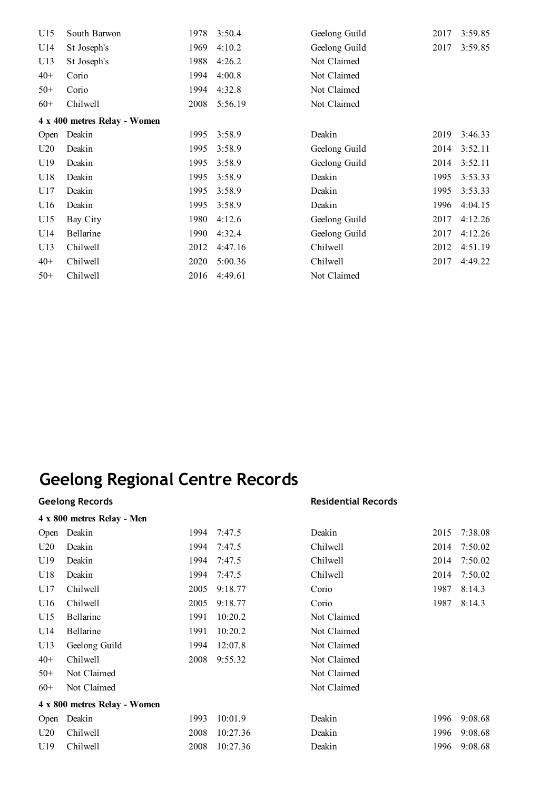| U15   | South Barwon                 | 1978 | 3:50.4  | Geelong Guild | 2017 | 3:59.85 |
|-------|------------------------------|------|---------|---------------|------|---------|
| U14   | St Joseph's                  | 1969 | 4:10.2  | Geelong Guild | 2017 | 3:59.85 |
| U13   | St Joseph's                  | 1988 | 4:26.2  | Not Claimed   |      |         |
| $40+$ | Corio                        | 1994 | 4:00.8  | Not Claimed   |      |         |
| $50+$ | Corio                        | 1994 | 4:32.8  | Not Claimed   |      |         |
| $60+$ | Chilwell                     | 2008 | 5:56.19 | Not Claimed   |      |         |
|       | 4 x 400 metres Relay - Women |      |         |               |      |         |
| Open  | Deakin                       | 1995 | 3:58.9  | Deakin        | 2019 | 3:46.33 |
| U20   | Deakin                       | 1995 | 3:58.9  | Geelong Guild | 2014 | 3:52.11 |
| U19   | Deakin                       | 1995 | 3:58.9  | Geelong Guild | 2014 | 3:52.11 |
| U18   | Deakin                       | 1995 | 3:58.9  | Deakin        | 1995 | 3:53.33 |
| U17   | Deakin                       | 1995 | 3:58.9  | Deakin        | 1995 | 3:53.33 |
| U16   | Deakin                       | 1995 | 3:58.9  | Deakin        | 1996 | 4:04.15 |
| U15   | Bay City                     | 1980 | 4:12.6  | Geelong Guild | 2017 | 4:12.26 |
| U14   | Bellarine                    | 1990 | 4:32.4  | Geelong Guild | 2017 | 4:12.26 |
| U13   | Chilwell                     | 2012 | 4:47.16 | Chilwell      | 2012 | 4:51.19 |
| $40+$ | Chilwell                     | 2020 | 5:00.36 | Chilwell      | 2017 | 4:49.22 |
| $50+$ | Chilwell                     | 2016 | 4:49.61 | Not Claimed   |      |         |

|       | <b>Geelong Records</b>       |      |          | <b>Residential Records</b> |      |         |  |
|-------|------------------------------|------|----------|----------------------------|------|---------|--|
|       | 4 x 800 metres Relay - Men   |      |          |                            |      |         |  |
| Open  | Deakin                       | 1994 | 7:47.5   | Deakin                     | 2015 | 7:38.08 |  |
| U20   | Deakin                       | 1994 | 7:47.5   | Chilwell                   | 2014 | 7:50.02 |  |
| U19   | Deakin                       | 1994 | 7:47.5   | Chilwell                   | 2014 | 7:50.02 |  |
| U18   | Deakin                       | 1994 | 7:47.5   | Chilwell                   | 2014 | 7:50.02 |  |
| U17   | Chilwell                     | 2005 | 9:18.77  | Corio                      | 1987 | 8:14.3  |  |
| U16   | Chilwell                     | 2005 | 9:18.77  | Corio                      | 1987 | 8:14.3  |  |
| U15   | Bellarine                    | 1991 | 10:20.2  | Not Claimed                |      |         |  |
| U14   | Bellarine                    | 1991 | 10:20.2  | Not Claimed                |      |         |  |
| U13   | Geelong Guild                | 1994 | 12:07.8  | Not Claimed                |      |         |  |
| $40+$ | Chilwell                     | 2008 | 9:55.32  | Not Claimed                |      |         |  |
| $50+$ | Not Claimed                  |      |          | Not Claimed                |      |         |  |
| $60+$ | Not Claimed                  |      |          | Not Claimed                |      |         |  |
|       | 4 x 800 metres Relay - Women |      |          |                            |      |         |  |
| Open  | Deakin                       | 1993 | 10:01.9  | Deakin                     | 1996 | 9:08.68 |  |
| U20   | Chilwell                     | 2008 | 10:27.36 | Deakin                     | 1996 | 9:08.68 |  |
| U19   | Chilwell                     | 2008 | 10:27.36 | Deakin                     | 1996 | 9:08.68 |  |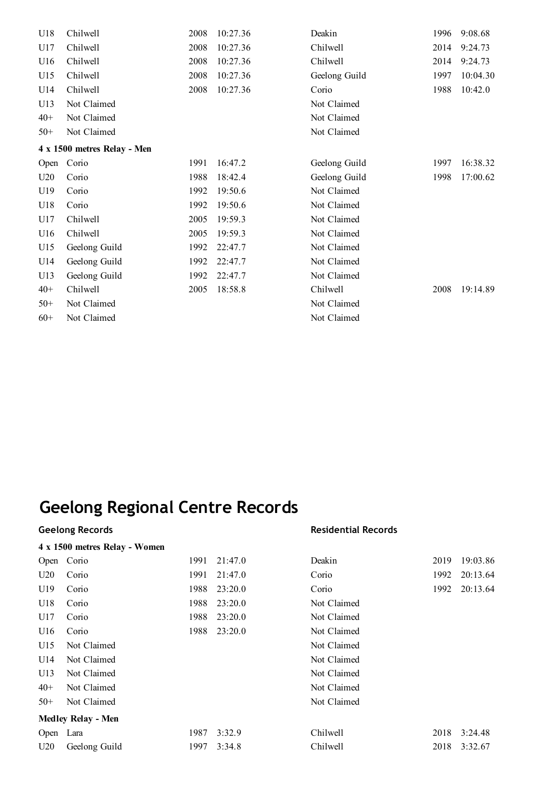| U18                         | Chilwell      | 2008 | 10:27.36 | Deakin        | 1996 | 9:08.68  |  |  |
|-----------------------------|---------------|------|----------|---------------|------|----------|--|--|
| U17                         | Chilwell      | 2008 | 10:27.36 | Chilwell      | 2014 | 9:24.73  |  |  |
| U16                         | Chilwell      | 2008 | 10:27.36 | Chilwell      | 2014 | 9:24.73  |  |  |
| U15                         | Chilwell      | 2008 | 10:27.36 | Geelong Guild | 1997 | 10:04.30 |  |  |
| U14                         | Chilwell      | 2008 | 10:27.36 | Corio         | 1988 | 10:42.0  |  |  |
| U13                         | Not Claimed   |      |          | Not Claimed   |      |          |  |  |
| $40+$                       | Not Claimed   |      |          | Not Claimed   |      |          |  |  |
| $50+$                       | Not Claimed   |      |          | Not Claimed   |      |          |  |  |
| 4 x 1500 metres Relay - Men |               |      |          |               |      |          |  |  |
| Open                        | Corio         | 1991 | 16:47.2  | Geelong Guild | 1997 | 16:38.32 |  |  |
| U20                         | Corio         | 1988 | 18:42.4  | Geelong Guild | 1998 | 17:00.62 |  |  |
| U19                         | Corio         | 1992 | 19:50.6  | Not Claimed   |      |          |  |  |
| U18                         | Corio         | 1992 | 19:50.6  | Not Claimed   |      |          |  |  |
| U17                         | Chilwell      | 2005 | 19:59.3  | Not Claimed   |      |          |  |  |
| U16                         | Chilwell      | 2005 | 19:59.3  | Not Claimed   |      |          |  |  |
| U15                         | Geelong Guild | 1992 | 22:47.7  | Not Claimed   |      |          |  |  |
| U14                         | Geelong Guild | 1992 | 22:47.7  | Not Claimed   |      |          |  |  |
| U13                         | Geelong Guild | 1992 | 22:47.7  | Not Claimed   |      |          |  |  |
| $40+$                       | Chilwell      | 2005 | 18:58.8  | Chilwell      | 2008 | 19:14.89 |  |  |
| $50+$                       | Not Claimed   |      |          | Not Claimed   |      |          |  |  |
| $60+$                       | Not Claimed   |      |          | Not Claimed   |      |          |  |  |

#### **4 x 1500 metres Relay - Women**

#### **Geelong Records Residential Records**

|           | $\tau$ a love meals index $\tau$ weight |      |         |             |      |          |  |
|-----------|-----------------------------------------|------|---------|-------------|------|----------|--|
| Open      | Corio                                   | 1991 | 21:47.0 | Deakin      | 2019 | 19:03.86 |  |
| U20       | Corio                                   | 1991 | 21:47.0 | Corio       | 1992 | 20:13.64 |  |
| U19       | Corio                                   | 1988 | 23:20.0 | Corio       | 1992 | 20:13.64 |  |
| U18       | Corio                                   | 1988 | 23:20.0 | Not Claimed |      |          |  |
| U17       | Corio                                   | 1988 | 23:20.0 | Not Claimed |      |          |  |
| U16       | Corio                                   | 1988 | 23:20.0 | Not Claimed |      |          |  |
| U15       | Not Claimed                             |      |         | Not Claimed |      |          |  |
| U14       | Not Claimed                             |      |         | Not Claimed |      |          |  |
| U13       | Not Claimed                             |      |         | Not Claimed |      |          |  |
| $40+$     | Not Claimed                             |      |         | Not Claimed |      |          |  |
| $50+$     | Not Claimed                             |      |         | Not Claimed |      |          |  |
|           | <b>Medley Relay - Men</b>               |      |         |             |      |          |  |
| Open Lara |                                         | 1987 | 3:32.9  | Chilwell    | 2018 | 3:24.48  |  |
| U20       | Geelong Guild                           | 1997 | 3:34.8  | Chilwell    | 2018 | 3:32.67  |  |
|           |                                         |      |         |             |      |          |  |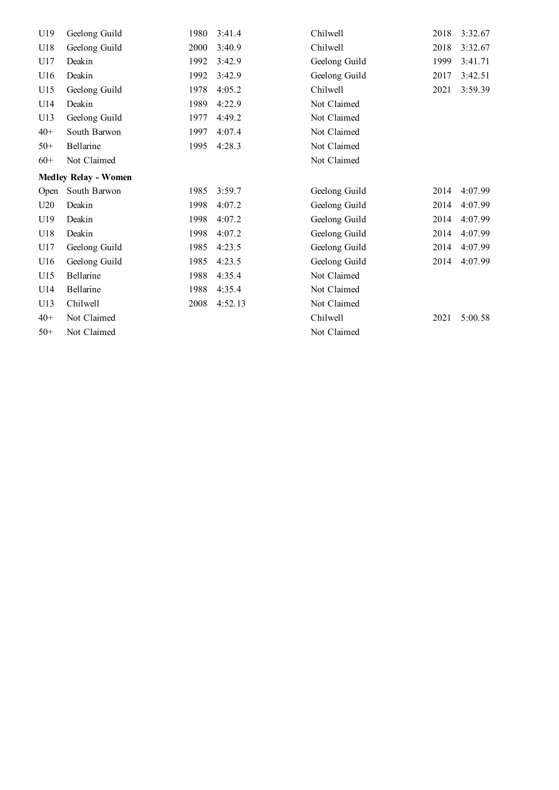| U19   | Geelong Guild               | 1980 | 3:41.4  | Chilwell      | 2018 | 3:32.67 |
|-------|-----------------------------|------|---------|---------------|------|---------|
| U18   | Geelong Guild               | 2000 | 3:40.9  | Chilwell      | 2018 | 3:32.67 |
| U17   | Deakin                      | 1992 | 3:42.9  | Geelong Guild | 1999 | 3:41.71 |
| U16   | Deakin                      | 1992 | 3:42.9  | Geelong Guild | 2017 | 3:42.51 |
| U15   | Geelong Guild               | 1978 | 4:05.2  | Chilwell      | 2021 | 3:59.39 |
| U14   | Deakin                      | 1989 | 4:22.9  | Not Claimed   |      |         |
| U13   | Geelong Guild               | 1977 | 4:49.2  | Not Claimed   |      |         |
| $40+$ | South Barwon                | 1997 | 4:07.4  | Not Claimed   |      |         |
| $50+$ | Bellarine                   | 1995 | 4:28.3  | Not Claimed   |      |         |
| $60+$ | Not Claimed                 |      |         | Not Claimed   |      |         |
|       | <b>Medley Relay - Women</b> |      |         |               |      |         |
| Open  | South Barwon                | 1985 | 3:59.7  | Geelong Guild | 2014 | 4:07.99 |
| U20   | Deakin                      | 1998 | 4:07.2  | Geelong Guild | 2014 | 4:07.99 |
| U19   | Deakin                      | 1998 | 4:07.2  | Geelong Guild | 2014 | 4:07.99 |
| U18   | Deakin                      | 1998 | 4:07.2  | Geelong Guild | 2014 | 4:07.99 |
| U17   | Geelong Guild               | 1985 | 4:23.5  | Geelong Guild | 2014 | 4:07.99 |
| U16   | Geelong Guild               | 1985 | 4:23.5  | Geelong Guild | 2014 | 4:07.99 |
| U15   | Bellarine                   | 1988 | 4:35.4  | Not Claimed   |      |         |
| U14   | Bellarine                   | 1988 | 4:35.4  | Not Claimed   |      |         |
| U13   | Chilwell                    | 2008 | 4:52.13 | Not Claimed   |      |         |
| $40+$ | Not Claimed                 |      |         | Chilwell      | 2021 | 5:00.58 |
| $50+$ | Not Claimed                 |      |         | Not Claimed   |      |         |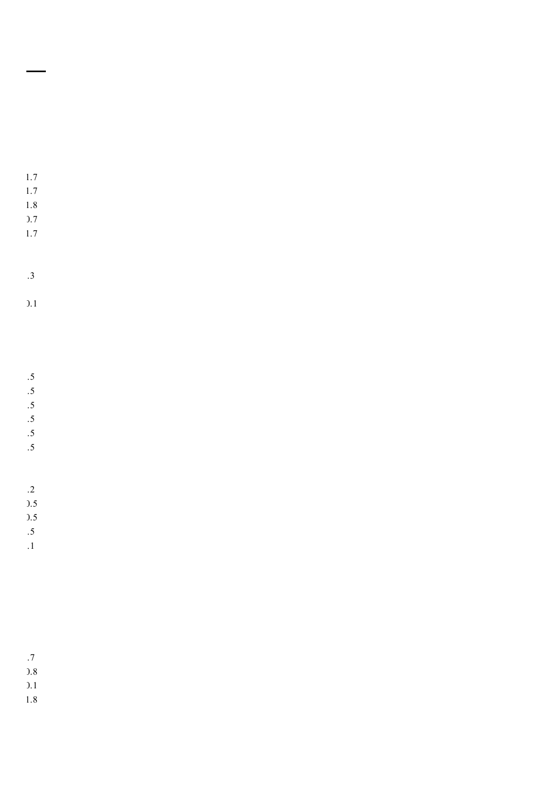+1.7

- +1.7
- +1.8
- +0.7
- +1.7

-1.3

 $\overline{)}.1$ 

-0.5

 $.5$ 

-0.5

 $.5$ 

 $.5$ -0.5

-1.2

 $).5$ +0.5

-0.5

-1.1

-0.7

+0.8

 $\overline{)}.1$ 

+1.8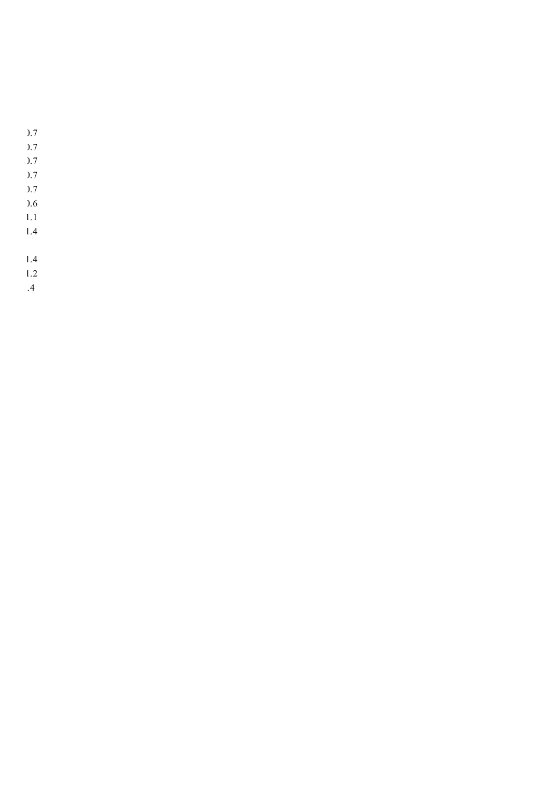- +0.7
- +0.7
- +0.7
- +0.7
- +0.7
- +0.6
- +1.1 +1.4
- 
- +1.4 +1.2
- -0.4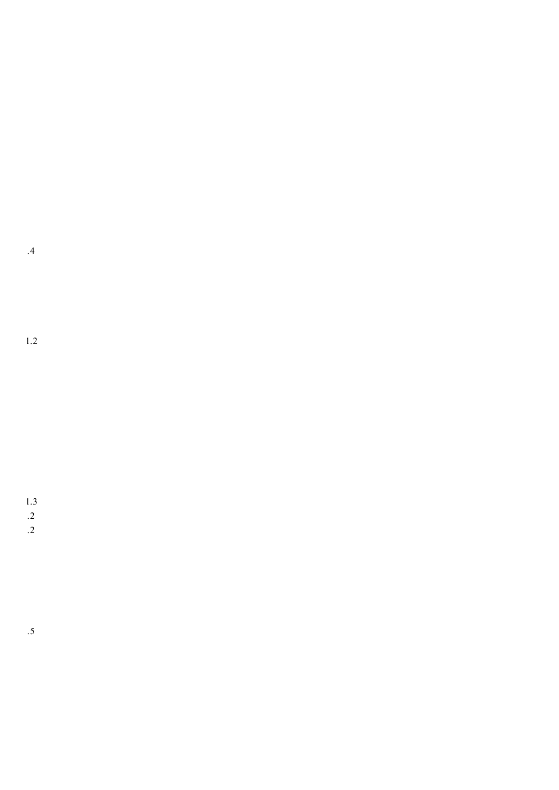-0.4

+1.2

+1.3  $\cdot$ .2  $.2$ 

-3.5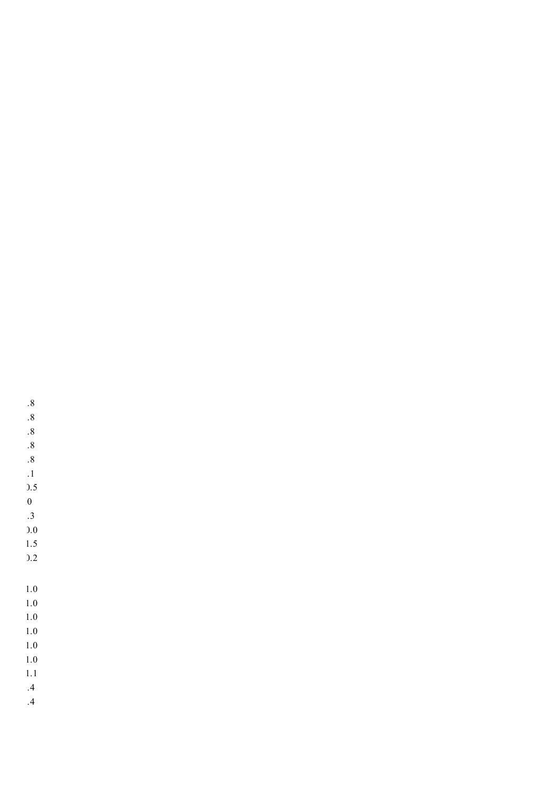- -0.8 -0.8
- -0.8
- 
- 
- -0.8 -0.8

 $\,$  .1  $\,$  $).5$  $\mathbf 0$ -1.3 +0.0 +1.5  $).2$ 

-0.4

-0.4

+1.0 +1.0 +1.0 +1.0 +1.0 +1.1

+1.0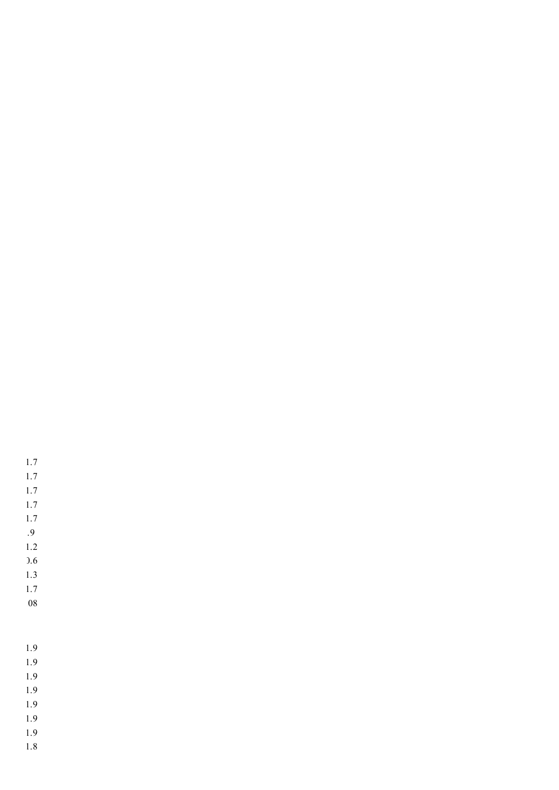+1.9 +1.9

+1.2

+0.6 +1.3 +1.7 +.08

+1.7 +1.7 +1.7 +1.7 +1.7 -0.9

- 
- +1.9
- 
- +1.9
- +1.9
- 
- 
- 
- +1.9
- +1.9
- +1.8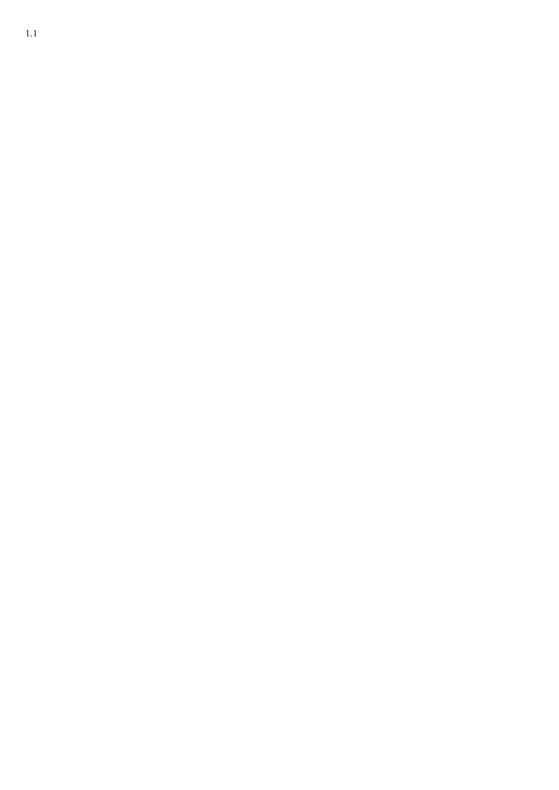+1.1